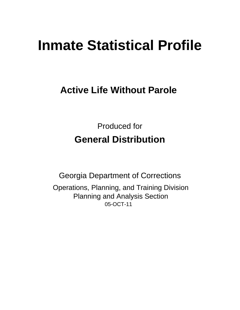# **Inmate Statistical Profile**

## **Active Life Without Parole**

**Produced for General Distribution** 

**Georgia Department of Corrections** Operations, Planning, and Training Division **Planning and Analysis Section** 05-OCT-11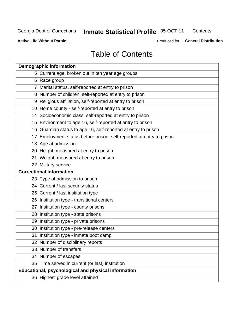## **Inmate Statistical Profile 05-OCT-11**

Contents

**Active Life Without Parole** 

Produced for General Distribution

## **Table of Contents**

| <b>Demographic information</b>                                       |
|----------------------------------------------------------------------|
| 5 Current age, broken out in ten year age groups                     |
| 6 Race group                                                         |
| 7 Marital status, self-reported at entry to prison                   |
| 8 Number of children, self-reported at entry to prison               |
| 9 Religious affiliation, self-reported at entry to prison            |
| 10 Home county - self-reported at entry to prison                    |
| 14 Socioeconomic class, self-reported at entry to prison             |
| 15 Environment to age 16, self-reported at entry to prison           |
| 16 Guardian status to age 16, self-reported at entry to prison       |
| 17 Employment status before prison, self-reported at entry to prison |
| 18 Age at admission                                                  |
| 20 Height, measured at entry to prison                               |
| 21 Weight, measured at entry to prison                               |
| 22 Military service                                                  |
| <b>Correctional information</b>                                      |
| 23 Type of admission to prison                                       |
| 24 Current / last security status                                    |
| 25 Current / last institution type                                   |
| 26 Institution type - transitional centers                           |
| 27 Institution type - county prisons                                 |
| 28 Institution type - state prisons                                  |
| 29 Institution type - private prisons                                |
| 30 Institution type - pre-release centers                            |
| 31 Institution type - inmate boot camp                               |
| 32 Number of disciplinary reports                                    |
| 33 Number of transfers                                               |
| 34 Number of escapes                                                 |
| 35 Time served in current (or last) institution                      |
| Educational, psychological and physical information                  |
| 36 Highest grade level attained                                      |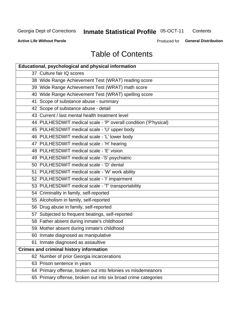## **Inmate Statistical Profile 05-OCT-11**

Contents

**Active Life Without Parole** 

Produced for General Distribution

## **Table of Contents**

| <b>Educational, psychological and physical information</b>       |
|------------------------------------------------------------------|
| 37 Culture fair IQ scores                                        |
| 38 Wide Range Achievement Test (WRAT) reading score              |
| 39 Wide Range Achievement Test (WRAT) math score                 |
| 40 Wide Range Achievement Test (WRAT) spelling score             |
| 41 Scope of substance abuse - summary                            |
| 42 Scope of substance abuse - detail                             |
| 43 Current / last mental health treatment level                  |
| 44 PULHESDWIT medical scale - 'P' overall condition ('P'hysical) |
| 45 PULHESDWIT medical scale - 'U' upper body                     |
| 46 PULHESDWIT medical scale - 'L' lower body                     |
| 47 PULHESDWIT medical scale - 'H' hearing                        |
| 48 PULHESDWIT medical scale - 'E' vision                         |
| 49 PULHESDWIT medical scale -'S' psychiatric                     |
| 50 PULHESDWIT medical scale - 'D' dental                         |
| 51 PULHESDWIT medical scale - 'W' work ability                   |
| 52 PULHESDWIT medical scale - 'I' impairment                     |
| 53 PULHESDWIT medical scale - 'T' transportability               |
| 54 Criminality in family, self-reported                          |
| 55 Alcoholism in family, self-reported                           |
| 56 Drug abuse in family, self-reported                           |
| 57 Subjected to frequent beatings, self-reported                 |
| 58 Father absent during inmate's childhood                       |
| 59 Mother absent during inmate's childhood                       |
| 60 Inmate diagnosed as manipulative                              |
| 61 Inmate diagnosed as assaultive                                |
| <b>Crimes and criminal history information</b>                   |
| 62 Number of prior Georgia incarcerations                        |
| 63 Prison sentence in years                                      |
| 64 Primary offense, broken out into felonies vs misdemeanors     |
| 65 Primary offense, broken out into six broad crime categories   |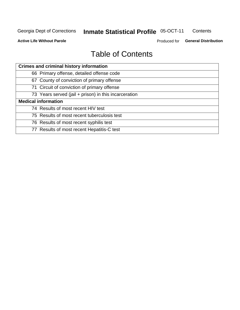## **Inmate Statistical Profile 05-OCT-11**

Contents

**Active Life Without Parole** 

Produced for General Distribution

## **Table of Contents**

| <b>Crimes and criminal history information</b>        |
|-------------------------------------------------------|
| 66 Primary offense, detailed offense code             |
| 67 County of conviction of primary offense            |
| 71 Circuit of conviction of primary offense           |
| 73 Years served (jail + prison) in this incarceration |
| <b>Medical information</b>                            |
| 74 Results of most recent HIV test                    |
| 75 Results of most recent tuberculosis test           |
| 76 Results of most recent syphilis test               |
| 77 Results of most recent Hepatitis-C test            |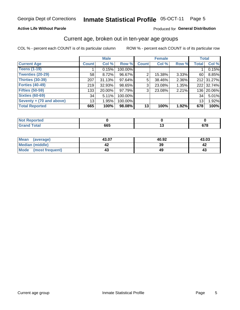#### Inmate Statistical Profile 05-OCT-11 Page 5

#### **Active Life Without Parole**

#### Produced for General Distribution

### Current age, broken out in ten-year age groups

COL % - percent each COUNT is of its particular column

|                          |              | <b>Male</b> |         |              | <b>Female</b> |       | <b>Total</b>    |            |
|--------------------------|--------------|-------------|---------|--------------|---------------|-------|-----------------|------------|
| <b>Current Age</b>       | <b>Count</b> | Col %       | Row %   | <b>Count</b> | Col %         | Row % | <b>Total</b>    | Col %      |
| <b>Teens (1-19)</b>      |              | 0.15%       | 100.00% |              |               |       |                 | 0.15%      |
| <b>Twenties (20-29)</b>  | 58           | 8.72%       | 96.67%  | 2            | 15.38%        | 3.33% | 60 l            | 8.85%      |
| Thirties (30-39)         | 207          | 31.13%      | 97.64%  | 5            | 38.46%        | 2.36% |                 | 212 31.27% |
| <b>Forties (40-49)</b>   | 219          | $32.93\%$   | 98.65%  | 3            | 23.08%        | 1.35% |                 | 222 32.74% |
| <b>Fifties (50-59)</b>   | 133          | $20.00\%$   | 97.79%  | 3            | 23.08%        | 2.21% |                 | 136 20.06% |
| <b>Sixties (60-69)</b>   | 34           | 5.11%       | 100.00% |              |               |       | 34              | 5.01%      |
| Seventy + (70 and above) | 13           | 1.95%       | 100.00% |              |               |       | 13 <sub>1</sub> | 1.92%      |
| <b>Total Reported</b>    | 665          | 100%        | 98.08%  | 13           | 100%          | 1.92% | 678             | 100%       |

| <b>A. A. A.</b>  |     |        |        |
|------------------|-----|--------|--------|
| Cofet.<br>______ | 665 | $\sim$ | $\sim$ |

| <b>Mean</b><br>(average) | 43.07 | 40.92 | 43.03 |
|--------------------------|-------|-------|-------|
| Median (middle)          |       | 39    |       |
| Mode<br>(most frequent)  |       |       | 4.    |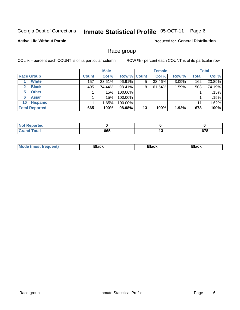#### **Inmate Statistical Profile 05-OCT-11** Page 6

#### **Active Life Without Parole**

Produced for General Distribution

### Race group

COL % - percent each COUNT is of its particular column

|                              |              | <b>Male</b> |                    |    | <b>Female</b> |       |              | <b>Total</b> |
|------------------------------|--------------|-------------|--------------------|----|---------------|-------|--------------|--------------|
| <b>Race Group</b>            | <b>Count</b> | Col %       | <b>Row % Count</b> |    | Col %         | Row % | <b>Total</b> | Col %        |
| <b>White</b>                 | 157          | 23.61%      | 96.91%             | 5  | 38.46%        | 3.09% | 162          | 23.89%       |
| <b>Black</b><br>$\mathbf{2}$ | 495          | 74.44%      | 98.41%             | 8  | 61.54%        | 1.59% | 503          | 74.19%       |
| <b>Other</b><br>5.           |              | .15%        | 100.00%            |    |               |       |              | .15%         |
| <b>Asian</b><br>6            |              | .15%        | 100.00%            |    |               |       |              | .15%         |
| <b>Hispanic</b><br>10        | 11           | 1.65%       | 100.00%            |    |               |       | 11           | 1.62%        |
| <b>Total Reported</b>        | 665          | 100%        | 98.08%             | 13 | 100%          | 1.92% | 678          | 100%         |

| 'ted |     |           |                |
|------|-----|-----------|----------------|
|      | 665 | . .<br>__ | $\sim$<br>07 O |

| M | - - - | Piavn |
|---|-------|-------|
|   |       |       |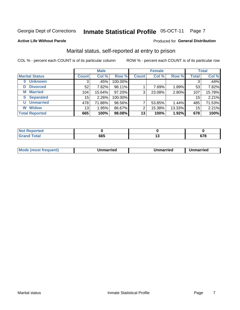#### **Inmate Statistical Profile 05-OCT-11** Page 7

#### **Active Life Without Parole**

#### Produced for General Distribution

### Marital status, self-reported at entry to prison

COL % - percent each COUNT is of its particular column

|                            |                 | <b>Male</b> |         |              | <b>Female</b> |        |              | <b>Total</b> |
|----------------------------|-----------------|-------------|---------|--------------|---------------|--------|--------------|--------------|
| <b>Marital Status</b>      | <b>Count</b>    | Col %       | Row %   | <b>Count</b> | Col %         | Row %  | <b>Total</b> | Col %        |
| <b>Unknown</b><br>$\bf{0}$ | 3               | .45%        | 100.00% |              |               |        | 3            | .44%         |
| <b>Divorced</b><br>D       | 52              | 7.82%       | 98.11%  |              | 7.69%         | 1.89%  | 53           | 7.82%        |
| <b>Married</b><br>М        | 104             | 15.64%      | 97.20%  | 3            | 23.08%        | 2.80%  | 107          | 15.78%       |
| <b>Separated</b><br>S      | 15              | 2.26%       | 100.00% |              |               |        | 15           | 2.21%        |
| <b>Unmarried</b><br>U      | 478             | 71.88%      | 98.56%  |              | 53.85%        | 1.44%  | 485          | 71.53%       |
| <b>Widow</b><br>W          | 13 <sub>1</sub> | 1.95%       | 86.67%  | 2            | 15.38%        | 13.33% | 15           | 2.21%        |
| <b>Total Reported</b>      | 665             | 100%        | 98.08%  | 13           | 100%          | 1.92%  | 678          | 100%         |

| rtea<br>NO |     |     |     |
|------------|-----|-----|-----|
| υιαι       | 665 | . . | ~-~ |

|  | M | . | Unmarried | າmarried<br>_____ |
|--|---|---|-----------|-------------------|
|--|---|---|-----------|-------------------|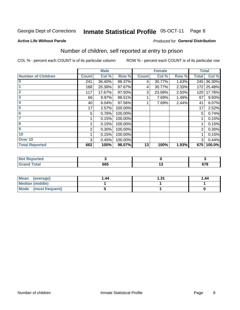#### **Inmate Statistical Profile 05-OCT-11** Page 8

#### **Active Life Without Parole**

#### Produced for General Distribution

## Number of children, self reported at entry to prison

COL % - percent each COUNT is of its particular column

|                           |              | <b>Male</b> |         |              | <b>Female</b> |       |              | <b>Total</b> |
|---------------------------|--------------|-------------|---------|--------------|---------------|-------|--------------|--------------|
| <b>Number of Children</b> | <b>Count</b> | Col %       | Row %   | <b>Count</b> | Col %         | Row % | <b>Total</b> | Col %        |
| $\bf{0}$                  | 241          | 36.40%      | 98.37%  | 4            | 30.77%        | 1.63% | 245          | 36.30%       |
|                           | 168          | 25.38%      | 97.67%  | 4            | 30.77%        | 2.33% | 172          | 25.48%       |
| $\overline{2}$            | 117          | 17.67%      | 97.50%  | 3            | 23.08%        | 2.50% | 120          | 17.78%       |
| 3                         | 66           | 9.97%       | 98.51%  |              | 7.69%         | 1.49% | 67           | 9.93%        |
| 4                         | 40           | 6.04%       | 97.56%  |              | 7.69%         | 2.44% | 41           | 6.07%        |
| 5                         | 17           | 2.57%       | 100.00% |              |               |       | 17           | 2.52%        |
| 6                         | 5            | 0.76%       | 100.00% |              |               |       | 5            | 0.74%        |
|                           |              | 0.15%       | 100.00% |              |               |       |              | 0.15%        |
| 8                         |              | 0.15%       | 100.00% |              |               |       |              | 0.15%        |
| $\boldsymbol{9}$          | 2            | 0.30%       | 100.00% |              |               |       | 2            | 0.30%        |
| 10                        |              | 0.15%       | 100.00% |              |               |       |              | 0.15%        |
| Over 10                   | 3            | 0.45%       | 100.00% |              |               |       | 3            | 0.44%        |
| <b>Total Reported</b>     | 662          | 100%        | 98.07%  | 13           | 100%          | 1.93% | 675          | 100.0%       |

| meo<br>N                      |            |            |
|-------------------------------|------------|------------|
| $f = 4 \pi$<br>υιαι<br>$\sim$ | 88F<br>כסס | <b>C70</b> |

| Mean<br>(average)       | 1.44 | ∣.31 | 1.44 |
|-------------------------|------|------|------|
| Median (middle)         |      |      |      |
| Mode<br>(most frequent) |      |      |      |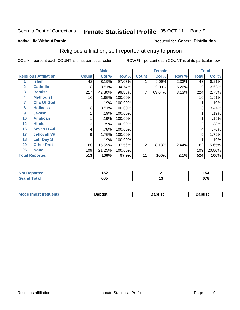#### **Inmate Statistical Profile 05-OCT-11** Page 9

#### **Active Life Without Parole**

#### Produced for General Distribution

## Religious affiliation, self-reported at entry to prison

COL % - percent each COUNT is of its particular column

|              |                              |              | <b>Male</b>               |         |              | <b>Female</b> |       |       | <b>Total</b> |
|--------------|------------------------------|--------------|---------------------------|---------|--------------|---------------|-------|-------|--------------|
|              | <b>Religious Affiliation</b> | <b>Count</b> | $\overline{\text{Col}}$ % | Row %   | <b>Count</b> | Col %         | Row % | Total | Col %        |
|              | <b>Islam</b>                 | 42           | 8.19%                     | 97.67%  |              | 9.09%         | 2.33% | 43    | 8.21%        |
| $\mathbf{2}$ | <b>Catholic</b>              | 18           | 3.51%                     | 94.74%  |              | 9.09%         | 5.26% | 19    | 3.63%        |
| 3            | <b>Baptist</b>               | 217          | 42.30%                    | 96.88%  |              | 63.64%        | 3.13% | 224   | 42.75%       |
| 4            | <b>Methodist</b>             | 10           | 1.95%                     | 100.00% |              |               |       | 10    | 1.91%        |
| 7            | <b>Chc Of God</b>            |              | .19%                      | 100.00% |              |               |       |       | .19%         |
| 8            | <b>Holiness</b>              | 18           | 3.51%                     | 100.00% |              |               |       | 18    | 3.44%        |
| 9            | <b>Jewish</b>                |              | .19%                      | 100.00% |              |               |       |       | .19%         |
| 10           | <b>Anglican</b>              |              | .19%                      | 100.00% |              |               |       |       | .19%         |
| 12           | <b>Hindu</b>                 | 2            | .39%                      | 100.00% |              |               |       | 2     | .38%         |
| 16           | <b>Seven D Ad</b>            | 4            | .78%                      | 100.00% |              |               |       | 4     | .76%         |
| 17           | <b>Jehovah Wt</b>            | 9            | 1.75%                     | 100.00% |              |               |       | 9     | 1.72%        |
| 18           | <b>Latr Day S</b>            |              | .19%                      | 100.00% |              |               |       |       | .19%         |
| 20           | <b>Other Prot</b>            | 80           | 15.59%                    | 97.56%  | 2            | 18.18%        | 2.44% | 82    | 15.65%       |
| 96           | <b>None</b>                  | 109          | 21.25%                    | 100.00% |              |               |       | 109   | 20.80%       |
|              | <b>Total Reported</b>        | 513          | 100%                      | 97.9%   | 11           | 100%          | 2.1%  | 524   | 100%         |

| rteo  | 4 P A     |    | $\sim$ $\sim$ |
|-------|-----------|----|---------------|
| .     | <b>_U</b> |    | 104           |
| _____ | 665       | יי | <b>070</b>    |

| Mode (most frequent) | Baptist | <b>Baptist</b> | aptıst |
|----------------------|---------|----------------|--------|
|                      |         |                |        |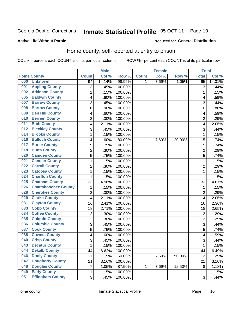#### Inmate Statistical Profile 05-OCT-11 Page 10

#### **Active Life Without Parole**

#### **Produced for General Distribution**

## Home county, self-reported at entry to prison

COL % - percent each COUNT is of its particular column

|     |                             |                | <b>Male</b> |         |              | <b>Female</b> |        | <b>Total</b>   |        |
|-----|-----------------------------|----------------|-------------|---------|--------------|---------------|--------|----------------|--------|
|     | <b>Home County</b>          | <b>Count</b>   | Col %       | Row %   | <b>Count</b> | Col %         | Row %  | <b>Total</b>   | Col %  |
| 000 | <b>Unknown</b>              | 94             | 14.14%      | 98.95%  | 1            | 7.69%         | 1.05%  | 95             | 14.01% |
| 001 | <b>Appling County</b>       | 3              | .45%        | 100.00% |              |               |        | 3              | .44%   |
| 002 | <b>Atkinson County</b>      | $\mathbf 1$    | .15%        | 100.00% |              |               |        | 1              | .15%   |
| 005 | <b>Baldwin County</b>       | 4              | .60%        | 100.00% |              |               |        | 4              | .59%   |
| 007 | <b>Barrow County</b>        | 3              | .45%        | 100.00% |              |               |        | 3              | .44%   |
| 008 | <b>Bartow County</b>        | 6              | .90%        | 100.00% |              |               |        | 6              | .88%   |
| 009 | <b>Ben Hill County</b>      | 4              | .60%        | 100.00% |              |               |        | 4              | .59%   |
| 010 | <b>Berrien County</b>       | $\overline{2}$ | .30%        | 100.00% |              |               |        | $\overline{2}$ | .29%   |
| 011 | <b>Bibb County</b>          | 14             | 2.11%       | 100.00% |              |               |        | 14             | 2.06%  |
| 012 | <b>Bleckley County</b>      | 3              | .45%        | 100.00% |              |               |        | 3              | .44%   |
| 014 | <b>Brooks County</b>        | $\mathbf 1$    | .15%        | 100.00% |              |               |        | 1              | .15%   |
| 016 | <b>Bulloch County</b>       | 4              | .60%        | 80.00%  | 1            | 7.69%         | 20.00% | 5              | .74%   |
| 017 | <b>Burke County</b>         | 5              | .75%        | 100.00% |              |               |        | 5              | .74%   |
| 018 | <b>Butts County</b>         | $\overline{c}$ | .30%        | 100.00% |              |               |        | $\overline{2}$ | .29%   |
| 020 | <b>Camden County</b>        | 5              | .75%        | 100.00% |              |               |        | 5              | .74%   |
| 021 | <b>Candler County</b>       | 1              | .15%        | 100.00% |              |               |        | 1              | .15%   |
| 022 | <b>Carroll County</b>       | $\overline{2}$ | .30%        | 100.00% |              |               |        | $\overline{2}$ | .29%   |
| 023 | <b>Catoosa County</b>       | 1              | .15%        | 100.00% |              |               |        | 1              | .15%   |
| 024 | <b>Charlton County</b>      | 1              | .15%        | 100.00% |              |               |        | 1              | .15%   |
| 025 | <b>Chatham County</b>       | 33             | 4.96%       | 100.00% |              |               |        | 33             | 4.87%  |
| 026 | <b>Chattahoochee County</b> | $\mathbf 1$    | .15%        | 100.00% |              |               |        | 1              | .15%   |
| 028 | <b>Cherokee County</b>      | $\overline{2}$ | .30%        | 100.00% |              |               |        | $\overline{2}$ | .29%   |
| 029 | <b>Clarke County</b>        | 14             | 2.11%       | 100.00% |              |               |        | 14             | 2.06%  |
| 031 | <b>Clayton County</b>       | 16             | 2.41%       | 100.00% |              |               |        | 16             | 2.36%  |
| 033 | <b>Cobb County</b>          | 18             | 2.71%       | 100.00% |              |               |        | 18             | 2.65%  |
| 034 | <b>Coffee County</b>        | 2              | .30%        | 100.00% |              |               |        | $\overline{2}$ | .29%   |
| 035 | <b>Colquitt County</b>      | $\overline{2}$ | .30%        | 100.00% |              |               |        | $\overline{2}$ | .29%   |
| 036 | <b>Columbia County</b>      | 3              | .45%        | 100.00% |              |               |        | 3              | .44%   |
| 037 | <b>Cook County</b>          | 5              | .75%        | 100.00% |              |               |        | 5              | .74%   |
| 038 | <b>Coweta County</b>        | 4              | .60%        | 100.00% |              |               |        | 4              | .59%   |
| 040 | <b>Crisp County</b>         | 3              | .45%        | 100.00% |              |               |        | 3              | .44%   |
| 043 | <b>Decatur County</b>       | 1              | .15%        | 100.00% |              |               |        | 1              | .15%   |
| 044 | <b>Dekalb County</b>        | 44             | 6.62%       | 100.00% |              |               |        | 44             | 6.49%  |
| 046 | <b>Dooly County</b>         | 1              | .15%        | 50.00%  | $\mathbf{1}$ | 7.69%         | 50.00% | $\overline{2}$ | .29%   |
| 047 | <b>Dougherty County</b>     | 21             | 3.16%       | 100.00% |              |               |        | 21             | 3.10%  |
| 048 | <b>Douglas County</b>       | 7              | 1.05%       | 87.50%  | 1            | 7.69%         | 12.50% | 8              | 1.18%  |
| 049 | <b>Early County</b>         | $\mathbf 1$    | .15%        | 100.00% |              |               |        | 1              | .15%   |
| 051 | <b>Effingham County</b>     | 3              | .45%        | 100.00% |              |               |        | 3              | .44%   |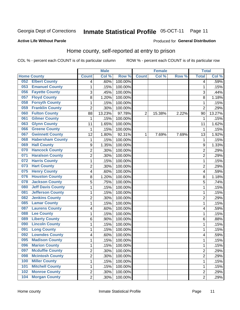#### Inmate Statistical Profile 05-OCT-11 Page 11

#### **Active Life Without Parole**

#### **Produced for General Distribution**

### Home county, self-reported at entry to prison

COL % - percent each COUNT is of its particular column

|                    |                          |                         | <b>Male</b> |         |                | <b>Female</b> |       | <b>Total</b>   |        |
|--------------------|--------------------------|-------------------------|-------------|---------|----------------|---------------|-------|----------------|--------|
| <b>Home County</b> |                          | <b>Count</b>            | Col%        | Row %   | <b>Count</b>   | Col %         | Row % | <b>Total</b>   | Col %  |
| 052                | <b>Elbert County</b>     | $\overline{4}$          | .60%        | 100.00% |                |               |       | 4              | .59%   |
| 053                | <b>Emanuel County</b>    | 1                       | .15%        | 100.00% |                |               |       | 1              | .15%   |
| 056                | <b>Fayette County</b>    | 3                       | .45%        | 100.00% |                |               |       | 3              | .44%   |
| 057                | <b>Floyd County</b>      | 8                       | 1.20%       | 100.00% |                |               |       | 8              | 1.18%  |
| 058                | <b>Forsyth County</b>    | $\mathbf{1}$            | .15%        | 100.00% |                |               |       | 1              | .15%   |
| 059                | <b>Franklin County</b>   | $\overline{2}$          | .30%        | 100.00% |                |               |       | $\overline{2}$ | .29%   |
| 060                | <b>Fulton County</b>     | 88                      | 13.23%      | 97.78%  | $\overline{2}$ | 15.38%        | 2.22% | 90             | 13.27% |
| 061                | <b>Gilmer County</b>     | 1                       | .15%        | 100.00% |                |               |       | 1              | .15%   |
| 063                | <b>Glynn County</b>      | 11                      | 1.65%       | 100.00% |                |               |       | 11             | 1.62%  |
| 066                | <b>Greene County</b>     | 1                       | .15%        | 100.00% |                |               |       | 1              | .15%   |
| 067                | <b>Gwinnett County</b>   | 12                      | 1.80%       | 92.31%  | 1              | 7.69%         | 7.69% | 13             | 1.92%  |
| 068                | <b>Habersham County</b>  | 1                       | .15%        | 100.00% |                |               |       | 1              | .15%   |
| 069                | <b>Hall County</b>       | 9                       | 1.35%       | 100.00% |                |               |       | 9              | 1.33%  |
| 070                | <b>Hancock County</b>    | $\overline{2}$          | .30%        | 100.00% |                |               |       | $\overline{2}$ | .29%   |
| 071                | <b>Haralson County</b>   | $\overline{2}$          | .30%        | 100.00% |                |               |       | $\overline{2}$ | .29%   |
| 072                | <b>Harris County</b>     | 1                       | .15%        | 100.00% |                |               |       | 1              | .15%   |
| 073                | <b>Hart County</b>       | $\overline{2}$          | .30%        | 100.00% |                |               |       | $\overline{2}$ | .29%   |
| 075                | <b>Henry County</b>      | 4                       | .60%        | 100.00% |                |               |       | 4              | .59%   |
| 076                | <b>Houston County</b>    | 8                       | 1.20%       | 100.00% |                |               |       | 8              | 1.18%  |
| 078                | <b>Jackson County</b>    | 5                       | .75%        | 100.00% |                |               |       | 5              | .74%   |
| 080                | <b>Jeff Davis County</b> | $\mathbf{1}$            | .15%        | 100.00% |                |               |       | 1              | .15%   |
| 081                | <b>Jefferson County</b>  | 1                       | .15%        | 100.00% |                |               |       | 1              | .15%   |
| 082                | <b>Jenkins County</b>    | $\overline{2}$          | .30%        | 100.00% |                |               |       | 2              | .29%   |
| 085                | <b>Lamar County</b>      | 1                       | .15%        | 100.00% |                |               |       | 1              | .15%   |
| 087                | <b>Laurens County</b>    | $\overline{\mathbf{4}}$ | .60%        | 100.00% |                |               |       | 4              | .59%   |
| 088                | <b>Lee County</b>        | 1                       | .15%        | 100.00% |                |               |       | 1              | .15%   |
| 089                | <b>Liberty County</b>    | 6                       | .90%        | 100.00% |                |               |       | 6              | .88%   |
| 090                | <b>Lincoln County</b>    | 1                       | .15%        | 100.00% |                |               |       | 1              | .15%   |
| 091                | <b>Long County</b>       | 1                       | .15%        | 100.00% |                |               |       | 1              | .15%   |
| 092                | <b>Lowndes County</b>    | 4                       | .60%        | 100.00% |                |               |       | 4              | .59%   |
| 095                | <b>Madison County</b>    | $\mathbf{1}$            | .15%        | 100.00% |                |               |       | 1              | .15%   |
| 096                | <b>Marion County</b>     | 1                       | .15%        | 100.00% |                |               |       | 1              | .15%   |
| 097                | <b>Mcduffie County</b>   | $\overline{2}$          | .30%        | 100.00% |                |               |       | 2              | .29%   |
| 098                | <b>Mcintosh County</b>   | $\overline{2}$          | .30%        | 100.00% |                |               |       | $\overline{2}$ | .29%   |
| 100                | <b>Miller County</b>     | $\mathbf{1}$            | .15%        | 100.00% |                |               |       | 1              | .15%   |
| 101                | <b>Mitchell County</b>   | 1                       | .15%        | 100.00% |                |               |       | 1              | .15%   |
| 102                | <b>Monroe County</b>     | $\overline{2}$          | .30%        | 100.00% |                |               |       | 2              | .29%   |
| 104                | <b>Morgan County</b>     | $\overline{2}$          | .30%        | 100.00% |                |               |       | $\overline{2}$ | .29%   |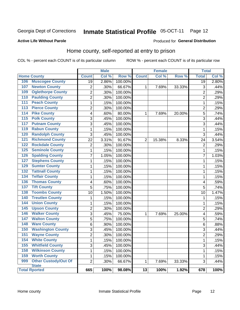#### **Inmate Statistical Profile 05-OCT-11** Page 12

#### **Active Life Without Parole**

#### Produced for General Distribution

### Home county, self-reported at entry to prison

COL % - percent each COUNT is of its particular column

|                                            |                         | <b>Male</b> |         |                 | <b>Female</b> |        | <b>Total</b>    |        |
|--------------------------------------------|-------------------------|-------------|---------|-----------------|---------------|--------|-----------------|--------|
| <b>Home County</b>                         | <b>Count</b>            | Col %       | Row %   | <b>Count</b>    | Col%          | Row %  | <b>Total</b>    | Col %  |
| 106 Muscogee County                        | 19                      | 2.86%       | 100.00% |                 |               |        | $\overline{19}$ | 2.80%  |
| 107<br><b>Newton County</b>                | $\overline{2}$          | .30%        | 66.67%  | 1               | 7.69%         | 33.33% | 3               | .44%   |
| <b>Oglethorpe County</b><br>109            | $\overline{2}$          | .30%        | 100.00% |                 |               |        | $\overline{2}$  | .29%   |
| <b>Paulding County</b><br>110              | $\overline{2}$          | .30%        | 100.00% |                 |               |        | $\overline{2}$  | .29%   |
| <b>Peach County</b><br>111                 | $\mathbf{1}$            | .15%        | 100.00% |                 |               |        | 1               | .15%   |
| <b>Pierce County</b><br>113                | $\overline{2}$          | .30%        | 100.00% |                 |               |        | $\overline{2}$  | .29%   |
| <b>Pike County</b><br>114                  | $\overline{\mathbf{4}}$ | .60%        | 80.00%  | 1               | 7.69%         | 20.00% | 5               | .74%   |
| <b>Polk County</b><br>115                  | $\overline{3}$          | .45%        | 100.00% |                 |               |        | 3               | .44%   |
| <b>Putnam County</b><br>117                | $\overline{3}$          | .45%        | 100.00% |                 |               |        | 3               | .44%   |
| <b>Rabun County</b><br>119                 | $\mathbf{1}$            | .15%        | 100.00% |                 |               |        | $\mathbf 1$     | .15%   |
| <b>Randolph County</b><br>120              | 3                       | .45%        | 100.00% |                 |               |        | 3               | $-44%$ |
| <b>Richmond County</b><br>121              | 22                      | 3.31%       | 91.67%  | $\overline{2}$  | 15.38%        | 8.33%  | 24              | 3.54%  |
| <b>Rockdale County</b><br>122              | $\overline{2}$          | .30%        | 100.00% |                 |               |        | $\overline{2}$  | .29%   |
| <b>Seminole County</b><br>125              | $\mathbf{1}$            | .15%        | 100.00% |                 |               |        | $\mathbf 1$     | .15%   |
| <b>Spalding County</b><br>126              | $\overline{7}$          | 1.05%       | 100.00% |                 |               |        | 7               | 1.03%  |
| <b>Stephens County</b><br>127              | $\mathbf{1}$            | .15%        | 100.00% |                 |               |        | 1               | .15%   |
| <b>Sumter County</b><br>129                | $\mathbf{1}$            | .15%        | 100.00% |                 |               |        | $\mathbf 1$     | .15%   |
| <b>Tattnall County</b><br>$\overline{132}$ | $\mathbf{1}$            | .15%        | 100.00% |                 |               |        | 1               | .15%   |
| <b>Telfair County</b><br>134               | $\mathbf{1}$            | .15%        | 100.00% |                 |               |        | 1               | .15%   |
| <b>Thomas County</b><br>136                | $\overline{\mathbf{4}}$ | .60%        | 100.00% |                 |               |        | 4               | .59%   |
| <b>Tift County</b><br>$\overline{137}$     | 5                       | .75%        | 100.00% |                 |               |        | 5               | .74%   |
| <b>Toombs County</b><br>138                | 10                      | 1.50%       | 100.00% |                 |               |        | 10              | 1.47%  |
| <b>Treutlen County</b><br>140              | 1                       | .15%        | 100.00% |                 |               |        | 1               | .15%   |
| <b>Union County</b><br>144                 | $\mathbf{1}$            | .15%        | 100.00% |                 |               |        | 1               | .15%   |
| <b>Upson County</b><br>$\overline{145}$    | $\overline{2}$          | .30%        | 100.00% |                 |               |        | $\overline{2}$  | .29%   |
| <b>Walker County</b><br>146                | $\overline{3}$          | .45%        | 75.00%  | 1               | 7.69%         | 25.00% | 4               | .59%   |
| <b>Walton County</b><br>147                | $\overline{5}$          | .75%        | 100.00% |                 |               |        | 5               | .74%   |
| <b>Ware County</b><br>148                  | $\overline{6}$          | .90%        | 100.00% |                 |               |        | 6               | .88%   |
| <b>Washington County</b><br>150            | $\overline{3}$          | .45%        | 100.00% |                 |               |        | 3               | .44%   |
| <b>Wayne County</b><br>151                 | $\overline{2}$          | .30%        | 100.00% |                 |               |        | $\overline{2}$  | .29%   |
| <b>White County</b><br>154                 | $\mathbf{1}$            | .15%        | 100.00% |                 |               |        | $\mathbf 1$     | .15%   |
| <b>Whitfield County</b><br>155             | 3                       | .45%        | 100.00% |                 |               |        | 3               | .44%   |
| 158<br><b>Wilkinson County</b>             | $\mathbf{1}$            | .15%        | 100.00% |                 |               |        | 1               | .15%   |
| <b>Worth County</b><br>159                 | $\mathbf{1}$            | .15%        | 100.00% |                 |               |        | 1               | .15%   |
| <b>Other Custody/Out Of</b><br>999         | $\overline{2}$          | .30%        | 66.67%  | $\mathbf{1}$    | 7.69%         | 33.33% | 3               | .44%   |
| <b>State</b><br><b>Total Rported</b>       | 665                     | 100%        | 98.08%  | $\overline{13}$ | 100%          | 1.92%  | 678             | 100%   |
|                                            |                         |             |         |                 |               |        |                 |        |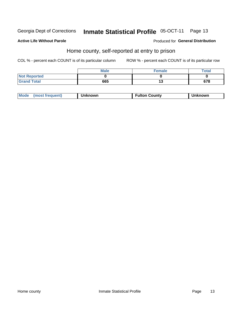#### Inmate Statistical Profile 05-OCT-11 Page 13

#### **Active Life Without Parole**

#### **Produced for General Distribution**

### Home county, self-reported at entry to prison

COL % - percent each COUNT is of its particular column

|                    | <b>Male</b> | <b>Female</b> | Total |
|--------------------|-------------|---------------|-------|
| Not Reported       |             |               |       |
| <b>Grand Total</b> | 665         | יי            | 678   |

| Mode<br>(most frequent) | <b>Unknown</b> | <b>Fulton County</b> | nknown |
|-------------------------|----------------|----------------------|--------|
|-------------------------|----------------|----------------------|--------|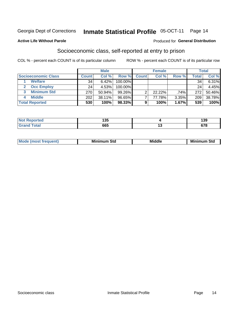## Inmate Statistical Profile 05-OCT-11 Page 14

#### **Active Life Without Parole**

#### Produced for General Distribution

### Socioeconomic class, self-reported at entry to prison

COL % - percent each COUNT is of its particular column

|                       |              | <b>Male</b> |            |              | <b>Female</b> |       |       | <b>Total</b> |
|-----------------------|--------------|-------------|------------|--------------|---------------|-------|-------|--------------|
| Socioeconomic Class   | <b>Count</b> | Col %       | Row %      | <b>Count</b> | Col %         | Row % | Total | Col %        |
| <b>Welfare</b>        | 34           | 6.42%       | 100.00%    |              |               |       | 34    | $6.31\%$     |
| <b>Occ Employ</b>     | 24           | 4.53%       | $100.00\%$ |              |               |       | 24    | 4.45%        |
| <b>Minimum Std</b>    | 270          | 50.94%      | $99.26\%$  |              | $22.22\%$     | .74%  | 272   | 50.46%       |
| <b>Middle</b>         | 202          | 38.11%      | 96.65%     |              | 77.78%        | 3.35% | 209   | 38.78%       |
| <b>Total Reported</b> | 530          | 100%        | 98.33%     |              | 100%          | 1.67% | 539   | 100%         |

| m. | .<br>ww |        | 139        |
|----|---------|--------|------------|
|    | 665     | $\sim$ | <b>070</b> |

| ____ |  | M<br>.ienti | Minim<br>Std<br>---- | <b>Middle</b> | <b>Minimum</b><br>Std |
|------|--|-------------|----------------------|---------------|-----------------------|
|------|--|-------------|----------------------|---------------|-----------------------|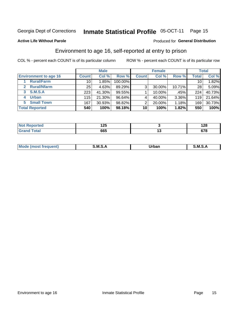## Inmate Statistical Profile 05-OCT-11 Page 15

#### **Active Life Without Parole**

#### Produced for General Distribution

## Environment to age 16, self-reported at entry to prison

COL % - percent each COUNT is of its particular column

|                              |                 | <b>Male</b> |           |              | <b>Female</b> |        |              | <b>Total</b> |
|------------------------------|-----------------|-------------|-----------|--------------|---------------|--------|--------------|--------------|
| <b>Environment to age 16</b> | <b>Count</b>    | Col %       | Row %     | <b>Count</b> | Col %         | Row %  | <b>Total</b> | Col %        |
| <b>Rural/Farm</b>            | 10 <sup>1</sup> | 1.85%       | 100.00%   |              |               |        | 10           | $1.82\%$     |
| <b>Rural/Nfarm</b><br>2.     | 25 <sub>1</sub> | 4.63%       | 89.29%    | 3            | 30.00%        | 10.71% | 28           | 5.09%        |
| S.M.S.A<br>3                 | 223             | 41.30%      | $99.55\%$ |              | 10.00%        | .45%   | 224          | 40.73%       |
| <b>Urban</b>                 | 115             | 21.30%      | $96.64\%$ |              | 40.00%        | 3.36%  | 119          | 21.64%       |
| <b>Small Town</b><br>5       | 167             | 30.93%      | 98.82%    | ⌒            | 20.00%        | 1.18%  | 169          | 30.73%       |
| <b>Total Reported</b>        | 540             | 100%        | 98.18%    | 10           | 100%          | 1.82%  | 550          | 100%         |

| <b>Not Reported</b> | ィクに<br>. د پ |     | 0 מ<br>.ZO   |
|---------------------|--------------|-----|--------------|
| <b>Total</b>        | 665          | 1 v | 070<br>. . v |

| Mo | M | lulaam<br>Ua.<br>_____ | M |
|----|---|------------------------|---|
|    |   |                        |   |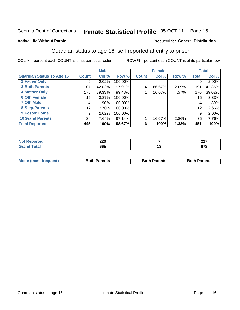#### **Inmate Statistical Profile 05-OCT-11** Page 16

#### **Active Life Without Parole**

#### Produced for General Distribution

## Guardian status to age 16, self-reported at entry to prison

COL % - percent each COUNT is of its particular column

|                                  |              | <b>Male</b> |         |              | <b>Female</b> |       |       | <b>Total</b> |
|----------------------------------|--------------|-------------|---------|--------------|---------------|-------|-------|--------------|
| <b>Guardian Status To Age 16</b> | <b>Count</b> | Col %       | Row %   | <b>Count</b> | Col %         | Row % | Total | Col %        |
| 2 Father Only                    | 9            | 2.02%       | 100.00% |              |               |       | 9     | 2.00%        |
| <b>3 Both Parents</b>            | 187          | 42.02%      | 97.91%  |              | 66.67%        | 2.09% | 191   | 42.35%       |
| <b>4 Mother Only</b>             | 175          | 39.33%      | 99.43%  |              | 16.67%        | .57%  | 176   | 39.02%       |
| <b>6 Oth Female</b>              | 15           | 3.37%       | 100.00% |              |               |       | 15    | 3.33%        |
| <b>7 Oth Male</b>                | 4            | .90%        | 100.00% |              |               |       | 4     | .89%         |
| 8 Step-Parents                   | 12           | 2.70%       | 100.00% |              |               |       | 12    | 2.66%        |
| 9 Foster Home                    | 9            | 2.02%       | 100.00% |              |               |       | 9     | 2.00%        |
| <b>10 Grand Parents</b>          | 34           | 7.64%       | 97.14%  |              | 16.67%        | 2.86% | 35    | 7.76%        |
| <b>Total Reported</b>            | 445          | 100%        | 98.67%  | 6            | 100%          | 1.33% | 451   | 100%         |

| rted        | חרה<br>ZZU | <b>007</b><br>44 I |
|-------------|------------|--------------------|
| <b>otal</b> | 665        | c70<br>07 Q        |

| <b>Mode (most frequent)</b> | <b>Both Parents</b> | <b>Both Parents</b> | <b>Both Parents</b> |
|-----------------------------|---------------------|---------------------|---------------------|
|                             |                     |                     |                     |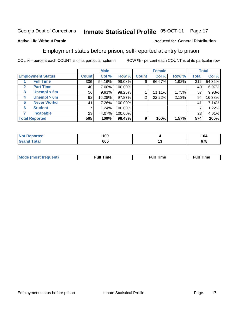#### **Inmate Statistical Profile 05-OCT-11** Page 17

#### **Active Life Without Parole**

#### Produced for General Distribution

### Employment status before prison, self-reported at entry to prison

COL % - percent each COUNT is of its particular column

|                                  |              | <b>Male</b> |         |              | <b>Female</b> |       |              | <b>Total</b> |
|----------------------------------|--------------|-------------|---------|--------------|---------------|-------|--------------|--------------|
| <b>Employment Status</b>         | <b>Count</b> | Col %       | Row %   | <b>Count</b> | Col %         | Row % | <b>Total</b> | Col %        |
| <b>Full Time</b>                 | 306          | 54.16%      | 98.08%  | 6            | 66.67%        | 1.92% | 312          | 54.36%       |
| <b>Part Time</b><br>$\mathbf{2}$ | 40 l         | 7.08%       | 100.00% |              |               |       | 40           | 6.97%        |
| Unempl $<$ 6m<br>3               | 56           | 9.91%       | 98.25%  |              | 11.11%        | 1.75% | 57           | 9.93%        |
| Unempl > 6m<br>4                 | 92           | 16.28%      | 97.87%  | 2            | 22.22%        | 2.13% | 94           | 16.38%       |
| <b>Never Workd</b><br>5          | 41           | 7.26%       | 100.00% |              |               |       | 41           | 7.14%        |
| <b>Student</b><br>6              |              | 1.24%       | 100.00% |              |               |       |              | 1.22%        |
| <b>Incapable</b>                 | 23           | 4.07%       | 100.00% |              |               |       | 23           | 4.01%        |
| <b>Total Reported</b>            | 565          | 100%        | 98.43%  | 9            | 100%          | 1.57% | 574          | 100%         |

| тек | 100 | 104             |
|-----|-----|-----------------|
|     | 665 | <br>c7c<br>07 O |

| Mc | ∴ul! | ----<br>ıme<br>w |
|----|------|------------------|
|    |      |                  |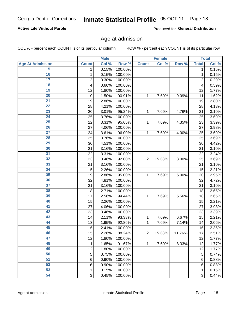#### Inmate Statistical Profile 05-OCT-11 Page 18

#### **Active Life Without Parole**

Produced for General Distribution

#### Age at admission

COL % - percent each COUNT is of its particular column

|                         |                | <b>Male</b> |         |                | <b>Female</b> |        |                | <b>Total</b> |
|-------------------------|----------------|-------------|---------|----------------|---------------|--------|----------------|--------------|
| <b>Age At Admission</b> | <b>Count</b>   | Col %       | Row %   | <b>Count</b>   | Col %         | Row %  | <b>Total</b>   | Col %        |
| 15                      | 1              | 0.15%       | 100.00% |                |               |        | 1              | 0.15%        |
| 16                      | 1              | 0.15%       | 100.00% |                |               |        | 1              | 0.15%        |
| $\overline{17}$         | $\overline{c}$ | 0.30%       | 100.00% |                |               |        | $\overline{2}$ | 0.29%        |
| 18                      | 4              | 0.60%       | 100.00% |                |               |        | 4              | 0.59%        |
| 19                      | 12             | 1.80%       | 100.00% |                |               |        | 12             | 1.77%        |
| $\overline{20}$         | 10             | 1.50%       | 90.91%  | 1              | 7.69%         | 9.09%  | 11             | 1.62%        |
| 21                      | 19             | 2.86%       | 100.00% |                |               |        | 19             | 2.80%        |
| 22                      | 28             | 4.21%       | 100.00% |                |               |        | 28             | 4.13%        |
| 23                      | 20             | 3.01%       | 95.24%  | 1              | 7.69%         | 4.76%  | 21             | 3.10%        |
| 24                      | 25             | 3.76%       | 100.00% |                |               |        | 25             | 3.69%        |
| $\overline{25}$         | 22             | 3.31%       | 95.65%  | 1              | 7.69%         | 4.35%  | 23             | 3.39%        |
| 26                      | 27             | 4.06%       | 100.00% |                |               |        | 27             | 3.98%        |
| $\overline{27}$         | 24             | 3.61%       | 96.00%  | 1              | 7.69%         | 4.00%  | 25             | 3.69%        |
| 28                      | 25             | 3.76%       | 100.00% |                |               |        | 25             | 3.69%        |
| 29                      | 30             | 4.51%       | 100.00% |                |               |        | 30             | 4.42%        |
| 30                      | 21             | 3.16%       | 100.00% |                |               |        | 21             | 3.10%        |
| 31                      | 22             | 3.31%       | 100.00% |                |               |        | 22             | 3.24%        |
| 32                      | 23             | 3.46%       | 92.00%  | $\overline{2}$ | 15.38%        | 8.00%  | 25             | 3.69%        |
| 33                      | 21             | 3.16%       | 100.00% |                |               |        | 21             | 3.10%        |
| 34                      | 15             | 2.26%       | 100.00% |                |               |        | 15             | 2.21%        |
| 35                      | 19             | 2.86%       | 95.00%  | 1              | 7.69%         | 5.00%  | 20             | 2.95%        |
| 36                      | 32             | 4.81%       | 100.00% |                |               |        | 32             | 4.72%        |
| $\overline{37}$         | 21             | 3.16%       | 100.00% |                |               |        | 21             | 3.10%        |
| 38                      | 18             | 2.71%       | 100.00% |                |               |        | 18             | 2.65%        |
| 39                      | 17             | 2.56%       | 94.44%  | 1              | 7.69%         | 5.56%  | 18             | 2.65%        |
| 40                      | 15             | 2.26%       | 100.00% |                |               |        | 15             | 2.21%        |
| 41                      | 27             | 4.06%       | 100.00% |                |               |        | 27             | 3.98%        |
| 42                      | 23             | 3.46%       | 100.00% |                |               |        | 23             | 3.39%        |
| 43                      | 14             | 2.11%       | 93.33%  | 1              | 7.69%         | 6.67%  | 15             | 2.21%        |
| 44                      | 13             | 1.95%       | 92.86%  | 1              | 7.69%         | 7.14%  | 14             | 2.06%        |
| 45                      | 16             | 2.41%       | 100.00% |                |               |        | 16             | 2.36%        |
| 46                      | 15             | 2.26%       | 88.24%  | $\overline{2}$ | 15.38%        | 11.76% | 17             | 2.51%        |
| 47                      | 12             | 1.80%       | 100.00% |                |               |        | 12             | 1.77%        |
| 48                      | 11             | 1.65%       | 91.67%  | 1              | 7.69%         | 8.33%  | 12             | 1.77%        |
| 49                      | 12             | 1.80%       | 100.00% |                |               |        | 12             | 1.77%        |
| 50                      | 5              | 0.75%       | 100.00% |                |               |        | 5              | 0.74%        |
| $\overline{51}$         | 6              | 0.90%       | 100.00% |                |               |        | 6              | 0.88%        |
| 52                      | 6              | 0.90%       | 100.00% |                |               |        | 6              | 0.88%        |
| 53                      | 1              | 0.15%       | 100.00% |                |               |        | 1              | 0.15%        |
| 54                      | 3              | 0.45%       | 100.00% |                |               |        | 3              | 0.44%        |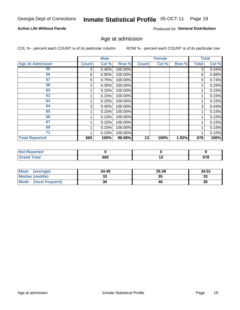#### Inmate Statistical Profile 05-OCT-11 Page 19

#### **Active Life Without Parole**

Produced for General Distribution

#### Age at admission

COL % - percent each COUNT is of its particular column

|                         |              | <b>Male</b> |         |              | <b>Female</b> |       |              | <b>Total</b> |
|-------------------------|--------------|-------------|---------|--------------|---------------|-------|--------------|--------------|
| <b>Age At Admission</b> | <b>Count</b> | Col %       | Row %   | <b>Count</b> | Col %         | Row % | <b>Total</b> | Col %        |
| 55                      | 3            | 0.45%       | 100.00% |              |               |       | 3            | 0.44%        |
| 56                      | 6            | 0.90%       | 100.00% |              |               |       | 6            | 0.88%        |
| 57                      | 5            | 0.75%       | 100.00% |              |               |       | 5            | 0.74%        |
| 58                      | 2            | 0.30%       | 100.00% |              |               |       | 2            | 0.29%        |
| 60                      |              | 0.15%       | 100.00% |              |               |       |              | 0.15%        |
| 62                      |              | 0.15%       | 100.00% |              |               |       |              | 0.15%        |
| 63                      |              | 0.15%       | 100.00% |              |               |       |              | 0.15%        |
| 64                      | 3            | 0.45%       | 100.00% |              |               |       | 3            | 0.44%        |
| 65                      |              | 0.15%       | 100.00% |              |               |       |              | 0.15%        |
| 66                      |              | 0.15%       | 100.00% |              |               |       |              | 0.15%        |
| 67                      |              | 0.15%       | 100.00% |              |               |       |              | 0.15%        |
| 69                      |              | 0.15%       | 100.00% |              |               |       |              | 0.15%        |
| 71                      |              | 0.15%       | 100.00% |              |               |       |              | 0.15%        |
| <b>Total Reported</b>   | 665          | 100%        | 98.08%  | 13           | 100%          | 1.92% | 678          | 100%         |

| Reported<br>NA        |     |         |
|-----------------------|-----|---------|
| <b>Total</b><br>Grand | 665 | <br>678 |

| Mean<br>(average)              | 34.49 | 35.38 | 34.51 |
|--------------------------------|-------|-------|-------|
| Median (middle)                | uu    | 35    | 33    |
| <b>Mode</b><br>(most frequent) | 36    | 46    | 36    |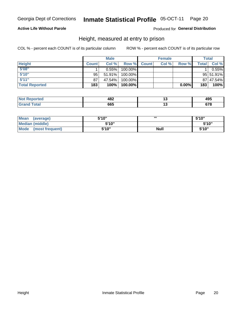#### Inmate Statistical Profile 05-OCT-11 Page 20

#### **Active Life Without Parole**

#### Produced for General Distribution

#### Height, measured at entry to prison

COL % - percent each COUNT is of its particular column

|                       |              | <b>Male</b> |         |              | <b>Female</b> |          |              | Total         |
|-----------------------|--------------|-------------|---------|--------------|---------------|----------|--------------|---------------|
| <b>Height</b>         | <b>Count</b> | Col %       | Row %   | <b>Count</b> | Col %         | Row %    | <b>Total</b> | Col %         |
| 5'08''                |              | $0.55\%$    | 100.00% |              |               |          |              | 0.55%         |
| 5'10''                | 95           | $51.91\%$   | 100.00% |              |               |          |              | $95 51.91\% $ |
| 5'11''                | 87           | 47.54%      | 100.00% |              |               |          |              | 87 47.54%     |
| <b>Total Reported</b> | 183          | 100%        | 100.00% |              |               | $0.00\%$ | 183          | 100%          |

| <b>Not</b><br><b>orted</b><br>еюо | ៱៰៱<br>40Z | 495 |
|-----------------------------------|------------|-----|
| <b>Total</b><br>' Grand           | 665        | ^¬^ |

| <b>Mean</b><br>(average)       | 5'10'' | ш           | 5'10" |
|--------------------------------|--------|-------------|-------|
| <b>Median (middle)</b>         | 5'10"  |             | 5'10" |
| <b>Mode</b><br>(most frequent) | 5'10'' | <b>Null</b> | 5'10" |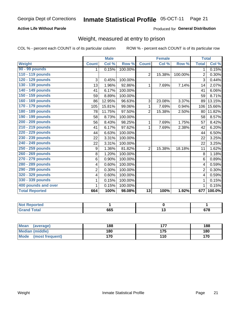#### Inmate Statistical Profile 05-OCT-11 Page 21

#### **Active Life Without Parole**

#### Produced for General Distribution

## Weight, measured at entry to prison

COL % - percent each COUNT is of its particular column

|                       |                         | <b>Male</b> |         |                 | <b>Female</b> |         |                | <b>Total</b>               |
|-----------------------|-------------------------|-------------|---------|-----------------|---------------|---------|----------------|----------------------------|
| <b>Weight</b>         | <b>Count</b>            | Col %       | Row %   | <b>Count</b>    | Col %         | Row %   | <b>Total</b>   | $\overline{\text{Col }\%}$ |
| 90 - 99 pounds        | 1                       | 0.15%       | 100.00% |                 |               |         | 1.             | 0.15%                      |
| 110 - 119 pounds      |                         |             |         | $\overline{2}$  | 15.38%        | 100.00% | $\overline{2}$ | 0.30%                      |
| 120 - 129 pounds      | 3                       | 0.45%       | 100.00% |                 |               |         | 3              | 0.44%                      |
| 130 - 139 pounds      | 13                      | 1.96%       | 92.86%  | 1               | 7.69%         | 7.14%   | 14             | 2.07%                      |
| 140 - 149 pounds      | 41                      | 6.17%       | 100.00% |                 |               |         | 41             | 6.06%                      |
| 150 - 159 pounds      | 59                      | 8.89%       | 100.00% |                 |               |         | 59             | 8.71%                      |
| 160 - 169 pounds      | 86                      | 12.95%      | 96.63%  | 3               | 23.08%        | 3.37%   | 89             | 13.15%                     |
| 170 - 179 pounds      | 105                     | 15.81%      | 99.06%  | 1               | 7.69%         | 0.94%   | 106            | 15.66%                     |
| 180 - 189 pounds      | 78                      | 11.75%      | 97.50%  | $\overline{2}$  | 15.38%        | 2.50%   | 80             | 11.82%                     |
| 190 - 199 pounds      | 58                      | 8.73%       | 100.00% |                 |               |         | 58             | 8.57%                      |
| 200 - 209 pounds      | 56                      | 8.43%       | 98.25%  | 1               | 7.69%         | 1.75%   | 57             | 8.42%                      |
| 210 - 219 pounds      | 41                      | 6.17%       | 97.62%  | 1               | 7.69%         | 2.38%   | 42             | 6.20%                      |
| 220 - 229 pounds      | 44                      | 6.63%       | 100.00% |                 |               |         | 44             | 6.50%                      |
| 230 - 239 pounds      | 22                      | 3.31%       | 100.00% |                 |               |         | 22             | 3.25%                      |
| 240 - 249 pounds      | 22                      | 3.31%       | 100.00% |                 |               |         | 22             | 3.25%                      |
| 250 - 259 pounds      | 9                       | 1.36%       | 81.82%  | $\overline{2}$  | 15.38%        | 18.18%  | 11             | 1.62%                      |
| 260 - 269 pounds      | 8                       | 1.20%       | 100.00% |                 |               |         | 8              | $\overline{1.18\%}$        |
| 270 - 279 pounds      | 6                       | 0.90%       | 100.00% |                 |               |         | 6              | 0.89%                      |
| 280 - 289 pounds      | $\overline{4}$          | 0.60%       | 100.00% |                 |               |         | $\overline{4}$ | 0.59%                      |
| 290 - 299 pounds      | $\mathbf 2$             | 0.30%       | 100.00% |                 |               |         | $\overline{2}$ | 0.30%                      |
| 320 - 329 pounds      | $\overline{\mathbf{4}}$ | 0.60%       | 100.00% |                 |               |         | 4              | 0.59%                      |
| 330 - 339 pounds      | 1                       | 0.15%       | 100.00% |                 |               |         | 1              | 0.15%                      |
| 400 pounds and over   | 1                       | 0.15%       | 100.00% |                 |               |         | $\mathbf{1}$   | 0.15%                      |
| <b>Total Reported</b> | 664                     | 100%        | 98.08%  | $\overline{13}$ | 100%          | 1.92%   | 677            | 100.0%                     |

| <b>Not</b><br><b>Reported</b>          |     |             |
|----------------------------------------|-----|-------------|
| <b>Total</b><br><b>Grand</b><br>$\sim$ | 665 | ~70<br>07 O |

| <b>Mean</b><br>(average) | 188 | --- | 188 |
|--------------------------|-----|-----|-----|
| <b>Median (middle)</b>   | 180 | 175 | 180 |
| Mode<br>(most frequent)  | 170 | 110 | 170 |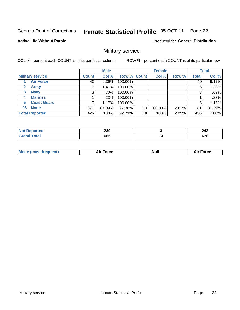#### **Inmate Statistical Profile 05-OCT-11** Page 22

**Active Life Without Parole** 

Produced for General Distribution

### Military service

COL % - percent each COUNT is of its particular column

|                             |              | <b>Male</b> |             |    | <b>Female</b> |       |              | <b>Total</b> |
|-----------------------------|--------------|-------------|-------------|----|---------------|-------|--------------|--------------|
| <b>Military service</b>     | <b>Count</b> | Col %       | Row % Count |    | Col %         | Row % | <b>Total</b> | Col %        |
| <b>Air Force</b>            | 40           | $9.39\%$    | 100.00%     |    |               |       | 40           | 9.17%        |
| $\mathbf{2}$<br><b>Army</b> | 6            | 1.41%       | 100.00%     |    |               |       | 6            | 1.38%        |
| <b>Navy</b><br>3            | 3            | .70%        | 100.00%     |    |               |       | 3            | .69%         |
| <b>Marines</b><br>4         |              | .23%        | 100.00%     |    |               |       |              | .23%         |
| <b>Coast Guard</b><br>5     | 5            | 1.17%       | 100.00%     |    |               |       | 5            | 1.15%        |
| <b>None</b><br>96           | 371          | 87.09%      | 97.38%      | 10 | 100.00%       | 2.62% | 381          | 87.39%       |
| <b>Total Reported</b>       | 426          | 100%        | 97.71%      | 10 | 100%          | 2.29% | 436          | 100%         |

| <b>rted</b>                   | 239<br>__ | 242<br>LTL      |
|-------------------------------|-----------|-----------------|
| $f \wedge f \wedge f$<br>υιαι | 665       | <br>~70<br>uı l |

|  |  | <b>Mode</b><br>uent)<br>most tren | Force<br>Aır | <b>Null</b> | orce |
|--|--|-----------------------------------|--------------|-------------|------|
|--|--|-----------------------------------|--------------|-------------|------|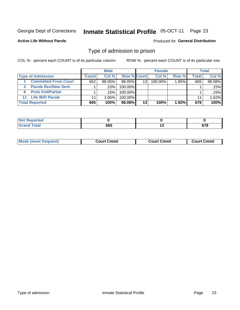#### **Inmate Statistical Profile 05-OCT-11** Page 23

**Active Life Without Parole** 

Produced for General Distribution

### Type of admission to prison

COL % - percent each COUNT is of its particular column

|                                |              | <b>Male</b> |             |    | <b>Female</b> |       |       | Total  |
|--------------------------------|--------------|-------------|-------------|----|---------------|-------|-------|--------|
| <b>Type of Admission</b>       | <b>Count</b> | Col%        | Row % Count |    | Col %         | Row % | Total | Col %  |
| <b>Committed From Court</b>    | 652          | $98.05\%$   | 98.05%      | 13 | 100.00%       | 1.95% | 665   | 98.08% |
| <b>Parole Rev/New Sent</b>     |              | .15%        | 100.00%     |    |               |       |       | .15%   |
| <b>Prob Viol/Partial</b><br>6. |              | .15%        | 100.00%     |    |               |       |       | .15%   |
| 11 Life W/O Parole             |              | 1.65%       | 100.00%     |    |               |       | 11    | 1.62%  |
| <b>Total Reported</b>          | 665          | 100%        | 98.08%      | 13 | 100%          | 1.92% | 678   | 100%   |

| тео.           |     |        |     |
|----------------|-----|--------|-----|
| Color<br>_____ | 665 | $\sim$ | c70 |

| <b>Mode (most frequent)</b><br>Court Cmmt<br>Court Cmmt<br>Court Cmmt |
|-----------------------------------------------------------------------|
|-----------------------------------------------------------------------|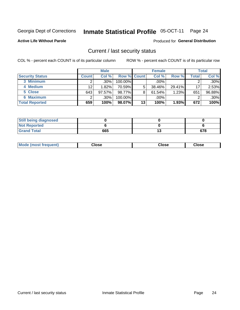## Inmate Statistical Profile 05-OCT-11 Page 24

**Active Life Without Parole** 

#### Produced for General Distribution

### Current / last security status

COL % - percent each COUNT is of its particular column

|                        |              | <b>Male</b> |                    |    | <b>Female</b> |        |       | <b>Total</b> |
|------------------------|--------------|-------------|--------------------|----|---------------|--------|-------|--------------|
| <b>Security Status</b> | <b>Count</b> | Col %       | <b>Row % Count</b> |    | Col %         | Row %  | Total | Col %        |
| 3 Minimum              |              | $.30\%$     | $100.00\%$         |    | $.00\%$       |        |       | $.30\%$      |
| 4 Medium               | 12           | 1.82%       | 70.59%             | 5  | 38.46%        | 29.41% | 17    | 2.53%        |
| 5 Close                | 643          | 97.57%      | 98.77%             | 8  | 61.54%        | 1.23%  | 651   | 96.88%       |
| <b>6 Maximum</b>       |              | .30%        | 100.00%            |    | .00%          |        |       | $.30\%$      |
| <b>Total Reported</b>  | 659          | 100%        | 98.07%             | 13 | 100%          | 1.93%  | 672   | 100%         |

| <b>Still being diagnosed</b> |     |    |     |
|------------------------------|-----|----|-----|
| <b>Not Reported</b>          |     |    |     |
| <b>Grand Total</b>           | 665 | IJ | 678 |

| <b>Mode (most frequent)</b><br>Close | Close | Close |
|--------------------------------------|-------|-------|
|--------------------------------------|-------|-------|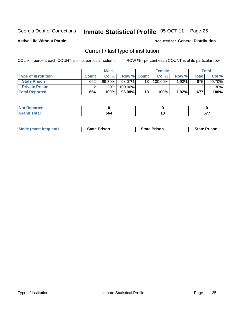#### Inmate Statistical Profile 05-OCT-11 Page 25

**Active Life Without Parole** 

Produced for General Distribution

## Current / last type of institution

COL % - percent each COUNT is of its particular column

|                            |              | <b>Male</b> |             |                 | <b>Female</b> |       |       | <b>Total</b> |
|----------------------------|--------------|-------------|-------------|-----------------|---------------|-------|-------|--------------|
| <b>Type of Institution</b> | <b>Count</b> | Col%        | Row % Count |                 | Col %         | Row % | Total | Col %        |
| <b>State Prison</b>        | 662          | $99.70\%$   | $98.07\%$   | 13 <sup>1</sup> | 100.00%       | 1.93% | 675   | 99.70%       |
| <b>Private Prison</b>      |              | .30%        | 100.00%     |                 |               |       |       | $.30\%$      |
| <b>Total Reported</b>      | 664          | 100%        | 98.08%      | 13 <sub>1</sub> | 100%          | 1.92% | 677   | 100%         |

| Reported          |     |                   |
|-------------------|-----|-------------------|
| <b>Total</b><br>- | 664 | $\sim$ – –<br>VI. |

| <b>Mode (most frequent)</b> | <b>State Prison</b> | <b>State Prison</b> | <b>State Prison</b> |
|-----------------------------|---------------------|---------------------|---------------------|
|                             |                     |                     |                     |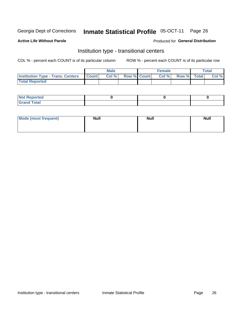#### **Inmate Statistical Profile 05-OCT-11** Page 26

#### **Active Life Without Parole**

#### Produced for General Distribution

## Institution type - transitional centers

COL % - percent each COUNT is of its particular column

|                                                | Male  |                    | <b>Female</b> |                   | Total |
|------------------------------------------------|-------|--------------------|---------------|-------------------|-------|
| <b>Institution Type - Trans. Centers Count</b> | Col % | <b>Row % Count</b> |               | Col % Row % Total | Col % |
| <b>Total Reported</b>                          |       |                    |               |                   |       |

| <b>Reported</b><br><b>NOT</b><br>$\sim$            |  |  |
|----------------------------------------------------|--|--|
| $f$ $f \circ f \circ f$<br>$C = 1$<br><b>TULAI</b> |  |  |

| Mode (most frequent) | <b>Null</b> | <b>Null</b> | <b>Null</b> |
|----------------------|-------------|-------------|-------------|
|                      |             |             |             |
|                      |             |             |             |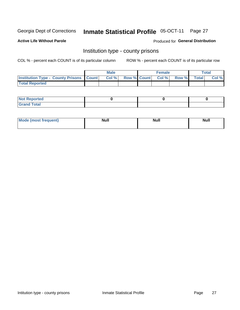## Inmate Statistical Profile 05-OCT-11 Page 27

**Active Life Without Parole** 

Produced for General Distribution

#### Institution type - county prisons

COL % - percent each COUNT is of its particular column

|                                                    | <b>Male</b> |                          | <b>Female</b> |             | <b>Total</b> |
|----------------------------------------------------|-------------|--------------------------|---------------|-------------|--------------|
| <b>Institution Type - County Prisons   Count  </b> | Col %       | <b>Row % Count Col %</b> |               | Row % Total | Col %        |
| <b>Total Reported</b>                              |             |                          |               |             |              |

| Reported<br>I NOT<br>$\sim$        |  |  |
|------------------------------------|--|--|
| <b>Total</b><br>. <del>. .</del> . |  |  |

| <b>Mode</b>      | <b>Null</b> | <b>Null</b> | <b>Null</b> |
|------------------|-------------|-------------|-------------|
| (most freauent). |             |             |             |
|                  |             |             |             |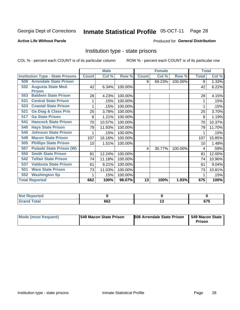## Inmate Statistical Profile 05-OCT-11 Page 28

#### **Active Life Without Parole**

#### Produced for General Distribution

### Institution type - state prisons

COL % - percent each COUNT is of its particular column

|                                                   |              | <b>Male</b> |         |              | <b>Female</b>             |         | <b>Total</b> |        |
|---------------------------------------------------|--------------|-------------|---------|--------------|---------------------------|---------|--------------|--------|
| <b>Institution Type - State Prisons</b>           | <b>Count</b> | Col %       | Row %   | <b>Count</b> | $\overline{\text{Col}}$ % | Row %   | <b>Total</b> | Col %  |
| <b>Arrendale State Prison</b><br>508              |              |             |         | 9            | 69.23%                    | 100.00% | 9            | 1.33%  |
| <b>Augusta State Med.</b><br>532<br><b>Prison</b> | 42           | 6.34%       | 100.00% |              |                           |         | 42           | 6.22%  |
| <b>Baldwin State Prison</b><br>553                | 28           | 4.23%       | 100.00% |              |                           |         | 28           | 4.15%  |
| <b>Central State Prison</b><br>531                |              | .15%        | 100.00% |              |                           |         |              | .15%   |
| <b>Coastal State Prison</b><br>523                |              | .15%        | 100.00% |              |                           |         |              | .15%   |
| <b>Ga Diag &amp; Class Pris</b><br>521            | 25           | 3.78%       | 100.00% |              |                           |         | 25           | 3.70%  |
| <b>Ga State Prison</b><br>517                     | 8            | 1.21%       | 100.00% |              |                           |         | 8            | 1.19%  |
| <b>Hancock State Prison</b><br>541                | 70           | 10.57%      | 100.00% |              |                           |         | 70           | 10.37% |
| <b>Hays State Prison</b><br>540                   | 79           | 11.93%      | 100.00% |              |                           |         | 79           | 11.70% |
| <b>Johnson State Prison</b><br>545                | 1            | .15%        | 100.00% |              |                           |         |              | .15%   |
| <b>Macon State Prison</b><br>549                  | 107          | 16.16%      | 100.00% |              |                           |         | 107          | 15.85% |
| <b>Phillips State Prison</b><br>505               | 10           | 1.51%       | 100.00% |              |                           |         | 10           | 1.48%  |
| <b>Pulaski State Prison (W)</b><br>557            |              |             |         | 4            | 30.77%                    | 100.00% | 4            | .59%   |
| <b>Smith State Prison</b><br>550                  | 81           | 12.24%      | 100.00% |              |                           |         | 81           | 12.00% |
| <b>Telfair State Prison</b><br>542                | 74           | 11.18%      | 100.00% |              |                           |         | 74           | 10.96% |
| <b>Valdosta State Prison</b><br>537               | 61           | 9.21%       | 100.00% |              |                           |         | 61           | 9.04%  |
| <b>Ware State Prison</b><br>501                   | 73           | 11.03%      | 100.00% |              |                           |         | 73           | 10.81% |
| <b>Washington Sp</b><br>552                       |              | .15%        | 100.00% |              |                           |         |              | .15%   |
| <b>Total Reported</b>                             | 662          | 100%        | 98.07%  | 13           | 100%                      | 1.93%   | 675          | 100%   |

| <b>Reported</b><br>'NO) |     |     |                 |
|-------------------------|-----|-----|-----------------|
| Total                   | 662 | . . | $\sim$<br>v 1 J |

| <b>Mode (most frequent)</b> | 1549 Macon State Prison | <b>508 Arrendale State Prison</b> | 1549 Macon State I<br>Prison |
|-----------------------------|-------------------------|-----------------------------------|------------------------------|
|-----------------------------|-------------------------|-----------------------------------|------------------------------|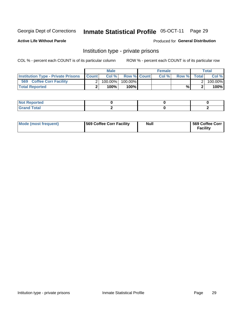## Inmate Statistical Profile 05-OCT-11 Page 29

**Active Life Without Parole** 

Produced for General Distribution

### Institution type - private prisons

COL % - percent each COUNT is of its particular column

|                                            | <b>Male</b> |                    | <b>Female</b> |       |              | Total   |
|--------------------------------------------|-------------|--------------------|---------------|-------|--------------|---------|
| Institution Type - Private Prisons   Count | Col%        | <b>Row % Count</b> | Col %         | Row % | <b>Total</b> | Col %   |
| 569<br><b>Coffee Corr Facility</b>         | 100.00%     | 100.00%            |               |       |              | 100.00% |
| <b>Total Reported</b>                      | $100\%$     | $100\%$            |               | %     |              | 100%    |

| Not Reported                |  |  |
|-----------------------------|--|--|
| $\cdots$ $\cdots$<br>______ |  |  |

| Mode (most frequent) | 569 Coffee Corr Facility | <b>Null</b> | 569 Coffee Corr<br><b>Facility</b> |
|----------------------|--------------------------|-------------|------------------------------------|
|----------------------|--------------------------|-------------|------------------------------------|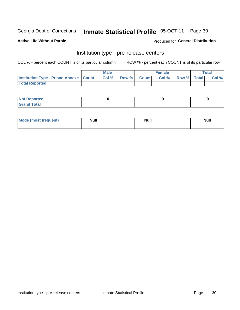## Inmate Statistical Profile 05-OCT-11 Page 30

**Active Life Without Parole** 

Produced for General Distribution

## Institution type - pre-release centers

COL % - percent each COUNT is of its particular column

|                                                    | <b>Male</b> |       |  | <b>Female</b> |       |             | <b>Total</b> |       |
|----------------------------------------------------|-------------|-------|--|---------------|-------|-------------|--------------|-------|
| <b>Institution Type - Prison Annexe   Count   </b> |             | Col % |  | Row % Count   | Col % | Row % Total |              | Col % |
| <b>Total Reported</b>                              |             |       |  |               |       |             |              |       |

| <b>Reported</b><br>I NOT |  |  |
|--------------------------|--|--|
| <b>Total</b><br>$C$ ren  |  |  |

| $^{\circ}$ Mo<br>frequent)<br>⊥(most | <b>Null</b> | Noll<br><b>vull</b> | <b>Null</b> |
|--------------------------------------|-------------|---------------------|-------------|
|                                      |             |                     |             |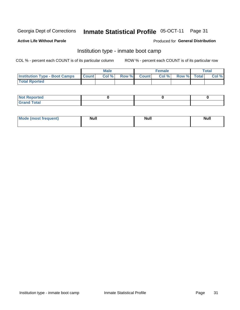#### Inmate Statistical Profile 05-OCT-11 Page 31

#### **Active Life Without Parole**

#### **Produced for General Distribution**

## Institution type - inmate boot camp

COL % - percent each COUNT is of its particular column

|                                      |              | <b>Male</b> |               |              | <b>Female</b> |             | <b>Total</b> |
|--------------------------------------|--------------|-------------|---------------|--------------|---------------|-------------|--------------|
| <b>Institution Type - Boot Camps</b> | <b>Count</b> | Col %       | <b>Row %I</b> | <b>Count</b> | Col %         | Row % Total | Col %        |
| <b>Total Rported</b>                 |              |             |               |              |               |             |              |

| <b>Not Reported</b> |  |  |
|---------------------|--|--|
| <b>Total</b><br>Cro |  |  |

| <b>I Mode (most frequent)</b> | <b>Null</b> | <b>Null</b> | <b>Null</b> |
|-------------------------------|-------------|-------------|-------------|
|                               |             |             |             |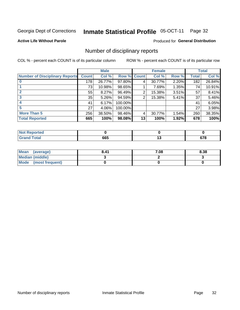#### Inmate Statistical Profile 05-OCT-11 Page 32

**Active Life Without Parole** 

#### Produced for General Distribution

### Number of disciplinary reports

COL % - percent each COUNT is of its particular column

|                                       |              | <b>Male</b> |                    |    | <b>Female</b> |       |       | <b>Total</b> |
|---------------------------------------|--------------|-------------|--------------------|----|---------------|-------|-------|--------------|
| <b>Number of Disciplinary Reports</b> | <b>Count</b> | Col %       | <b>Row % Count</b> |    | Col %         | Row % | Total | Col %        |
|                                       | 178          | 26.77%      | 97.80%             | 4  | 30.77%        | 2.20% | 182   | 26.84%       |
|                                       | 73           | 10.98%      | 98.65%             |    | 7.69%         | 1.35% | 74    | 10.91%       |
|                                       | 55           | 8.27%       | 96.49%             | 2  | 15.38%        | 3.51% | 57    | 8.41%        |
| 3                                     | 35           | 5.26%       | 94.59%             | 2  | 15.38%        | 5.41% | 37    | 5.46%        |
|                                       | 41           | 6.17%       | 100.00%            |    |               |       | 41    | 6.05%        |
| 5                                     | 27           | 4.06%       | 100.00%            |    |               |       | 27    | 3.98%        |
| <b>More Than 5</b>                    | 256          | 38.50%      | 98.46%             | 4  | 30.77%        | 1.54% | 260   | 38.35%       |
| <b>Total Reported</b>                 | 665          | 100%        | 98.08%             | 13 | 100%          | 1.92% | 678   | 100%         |

| Reported<br>NOT. |     |           |
|------------------|-----|-----------|
| <b>Total</b>     | 665 | . .<br>v, |

| Mean (average)         | 8.41 | 7.08 | 8.38 |
|------------------------|------|------|------|
| <b>Median (middle)</b> |      |      |      |
| Mode (most frequent)   |      |      |      |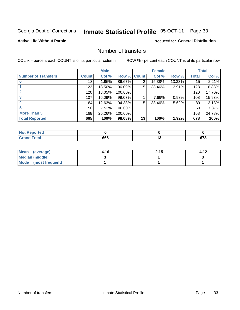#### **Inmate Statistical Profile 05-OCT-11** Page 33

#### **Active Life Without Parole**

#### **Produced for General Distribution**

### Number of transfers

COL % - percent each COUNT is of its particular column

|                            |         | <b>Male</b> |         |              | <b>Female</b> |        |              | <b>Total</b> |
|----------------------------|---------|-------------|---------|--------------|---------------|--------|--------------|--------------|
| <b>Number of Transfers</b> | Count l | Col %       | Row %   | <b>Count</b> | Col %         | Row %  | <b>Total</b> | Col %        |
|                            | 13      | 1.95%       | 86.67%  | 2            | 15.38%        | 13.33% | 15           | 2.21%        |
|                            | 123     | 18.50%      | 96.09%  | 5            | 38.46%        | 3.91%  | 128          | 18.88%       |
|                            | 120     | 18.05%      | 100.00% |              |               |        | 120          | 17.70%       |
| 3                          | 107     | 16.09%      | 99.07%  |              | 7.69%         | 0.93%  | 108          | 15.93%       |
|                            | 84      | 12.63%      | 94.38%  | 5            | 38.46%        | 5.62%  | 89           | 13.13%       |
| 5                          | 50      | 7.52%       | 100.00% |              |               |        | 50           | 7.37%        |
| <b>More Than 5</b>         | 168     | 25.26%      | 100.00% |              |               |        | 168          | 24.78%       |
| <b>Total Reported</b>      | 665     | 100%        | 98.08%  | 13           | 100%          | 1.92%  | 678          | 100%         |

| Reported<br>NOT. |     |           |
|------------------|-----|-----------|
| <b>Total</b>     | 665 | . .<br>v, |

| Mean (average)       | 4.16 | 2.15 |  |
|----------------------|------|------|--|
| Median (middle)      |      |      |  |
| Mode (most frequent) |      |      |  |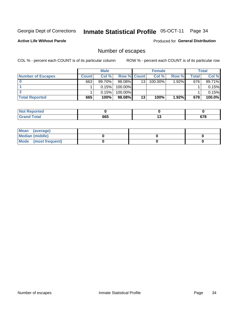## Inmate Statistical Profile 05-OCT-11 Page 34

**Active Life Without Parole** 

Produced for General Distribution

## Number of escapes

COL % - percent each COUNT is of its particular column

|                          |         | <b>Male</b> |                    |    | <b>Female</b> |       |       | <b>Total</b> |
|--------------------------|---------|-------------|--------------------|----|---------------|-------|-------|--------------|
| <b>Number of Escapes</b> | Count l | Col %       | <b>Row % Count</b> |    | Col %         | Row % | Total | Col %        |
|                          | 663     | $99.70\%$   | $98.08\%$          | 13 | $100.00\%$    | 1.92% | 676   | 99.71%       |
|                          |         | 0.15%       | 100.00%            |    |               |       |       | 0.15%        |
|                          |         | 0.15%       | 100.00%            |    |               |       |       | 0.15%        |
| <b>Total Reported</b>    | 665     | 100%        | 98.08%             | 13 | 100%          | 1.92% | 678   | 100.0%       |

| <b>orted</b><br><b>NOT</b><br>. Repor<br>$\sim$ |     |     |             |
|-------------------------------------------------|-----|-----|-------------|
| <b>Total</b><br>Grand                           | 665 | . . | c7c<br>07 O |

| Mean (average)       |  |  |
|----------------------|--|--|
| Median (middle)      |  |  |
| Mode (most frequent) |  |  |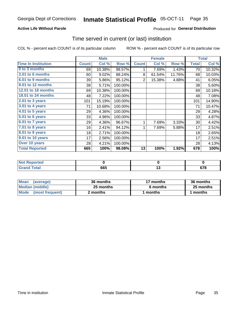#### Inmate Statistical Profile 05-OCT-11 Page 35

#### **Active Life Without Parole**

#### **Produced for General Distribution**

#### Time served in current (or last) institution

COL % - percent each COUNT is of its particular column

|                              | <b>Male</b>  |        | <b>Female</b> |                |        | <b>Total</b> |              |        |
|------------------------------|--------------|--------|---------------|----------------|--------|--------------|--------------|--------|
| <b>Time In Institution</b>   | <b>Count</b> | Col %  | Row %         | <b>Count</b>   | Col %  | Row %        | <b>Total</b> | Col %  |
| 0 to 3 months                | 69           | 10.38% | 98.57%        | 1              | 7.69%  | 1.43%        | 70           | 10.32% |
| 3.01 to 6 months             | 60           | 9.02%  | 88.24%        | 8              | 61.54% | 11.76%       | 68           | 10.03% |
| 6.01 to 9 months             | 39           | 5.86%  | 95.12%        | $\overline{2}$ | 15.38% | 4.88%        | 41           | 6.05%  |
| 9.01 to 12 months            | 38           | 5.71%  | 100.00%       |                |        |              | 38           | 5.60%  |
| 12.01 to 18 months           | 69           | 10.38% | 100.00%       |                |        |              | 69           | 10.18% |
| <b>18.01 to 24 months</b>    | 48           | 7.22%  | 100.00%       |                |        |              | 48           | 7.08%  |
| $2.01$ to 3 years            | 101          | 15.19% | 100.00%       |                |        |              | 101          | 14.90% |
| 3.01 to 4 years              | 71           | 10.68% | 100.00%       |                |        |              | 71           | 10.47% |
| 4.01 to 5 years              | 29           | 4.36%  | 100.00%       |                |        |              | 29           | 4.28%  |
| $\overline{5.01}$ to 6 years | 33           | 4.96%  | 100.00%       |                |        |              | 33           | 4.87%  |
| 6.01 to 7 years              | 29           | 4.36%  | 96.67%        | 1              | 7.69%  | 3.33%        | 30           | 4.42%  |
| 7.01 to 8 years              | 16           | 2.41%  | 94.12%        | 1              | 7.69%  | 5.88%        | 17           | 2.51%  |
| $8.01$ to 9 years            | 18           | 2.71%  | 100.00%       |                |        |              | 18           | 2.65%  |
| 9.01 to 10 years             | 17           | 2.56%  | 100.00%       |                |        |              | 17           | 2.51%  |
| Over 10 years                | 28           | 4.21%  | 100.00%       |                |        |              | 28           | 4.13%  |
| <b>Total Reported</b>        | 665          | 100%   | 98.08%        | 13             | 100%   | 1.92%        | 678          | 100%   |

| Reported<br><b>NOT</b> |     |        |
|------------------------|-----|--------|
| <i>i</i> otal          | 665 | $\sim$ |

| <b>Mean</b><br>(average) | 36 months | 17 months | 36 months |
|--------------------------|-----------|-----------|-----------|
| Median (middle)          | 25 months | 6 months  | 25 months |
| Mode (most frequent)     | 2 months  | 1 months  | 1 months  |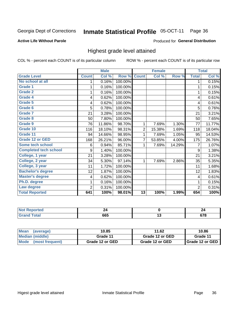#### **Inmate Statistical Profile 05-OCT-11** Page 36

#### **Active Life Without Parole**

#### Produced for General Distribution

### Highest grade level attained

COL % - percent each COUNT is of its particular column

|                              |                | <b>Male</b> |         |                 | <b>Female</b> |        |                | <b>Total</b> |
|------------------------------|----------------|-------------|---------|-----------------|---------------|--------|----------------|--------------|
| <b>Grade Level</b>           | <b>Count</b>   | Col %       | Row %   | <b>Count</b>    | Col %         | Row %  | <b>Total</b>   | Col %        |
| No school at all             | 1              | 0.16%       | 100.00% |                 |               |        | 1              | 0.15%        |
| <b>Grade 1</b>               |                | 0.16%       | 100.00% |                 |               |        | 1              | 0.15%        |
| <b>Grade 2</b>               | 1              | 0.16%       | 100.00% |                 |               |        | 1              | 0.15%        |
| Grade 4                      | 4              | 0.62%       | 100.00% |                 |               |        | 4              | 0.61%        |
| Grade 5                      | 4              | 0.62%       | 100.00% |                 |               |        | 4              | 0.61%        |
| Grade 6                      | 5              | 0.78%       | 100.00% |                 |               |        | $\overline{5}$ | 0.76%        |
| <b>Grade 7</b>               | 21             | 3.28%       | 100.00% |                 |               |        | 21             | 3.21%        |
| <b>Grade 8</b>               | 50             | 7.80%       | 100.00% |                 |               |        | 50             | 7.65%        |
| <b>Grade 9</b>               | 76             | 11.86%      | 98.70%  | 1               | 7.69%         | 1.30%  | 77             | 11.77%       |
| Grade 10                     | 116            | 18.10%      | 98.31%  | $\overline{c}$  | 15.38%        | 1.69%  | 118            | 18.04%       |
| Grade 11                     | 94             | 14.66%      | 98.95%  | 1               | 7.69%         | 1.05%  | 95             | 14.53%       |
| <b>Grade 12 or GED</b>       | 168            | 26.21%      | 96.00%  | 7               | 53.85%        | 4.00%  | 175            | 26.76%       |
| <b>Some tech school</b>      | 6              | 0.94%       | 85.71%  | 1               | 7.69%         | 14.29% | 7              | 1.07%        |
| <b>Completed tech school</b> | 9              | 1.40%       | 100.00% |                 |               |        | 9              | 1.38%        |
| College, 1 year              | 21             | 3.28%       | 100.00% |                 |               |        | 21             | 3.21%        |
| College, 2 year              | 34             | 5.30%       | 97.14%  | 1               | 7.69%         | 2.86%  | 35             | 5.35%        |
| College, 3 year              | 11             | 1.72%       | 100.00% |                 |               |        | 11             | 1.68%        |
| <b>Bachelor's degree</b>     | 12             | 1.87%       | 100.00% |                 |               |        | 12             | 1.83%        |
| <b>Master's degree</b>       | 4              | 0.62%       | 100.00% |                 |               |        | 4              | 0.61%        |
| Ph.D. degree                 | 1              | 0.16%       | 100.00% |                 |               |        | 1              | 0.15%        |
| Law degree                   | $\overline{2}$ | 0.31%       | 100.00% |                 |               |        | $\overline{2}$ | 0.31%        |
| <b>Total Reported</b>        | 641            | 100%        | 98.01%  | $\overline{13}$ | 100%          | 1.99%  | 654            | 100%         |

| orted      | - -     |   | - - |
|------------|---------|---|-----|
| <b>ota</b> | <br>ხხე | ⊶ | ~-~ |

| <b>Mean</b><br>(average)       | 10.85           | 11.62           | 10.86             |
|--------------------------------|-----------------|-----------------|-------------------|
| <b>Median (middle)</b>         | Grade 11        | Grade 12 or GED | Grade 11          |
| <b>Mode</b><br>(most frequent) | Grade 12 or GED | Grade 12 or GED | I Grade 12 or GED |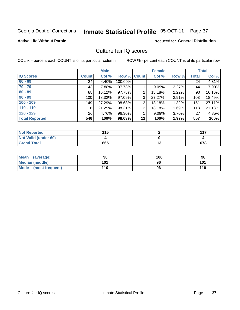# Inmate Statistical Profile 05-OCT-11 Page 37

## **Active Life Without Parole**

### **Produced for General Distribution**

## Culture fair IQ scores

COL % - percent each COUNT is of its particular column

|                       |              | <b>Male</b> |             |                | <b>Female</b> |          |              | <b>Total</b> |
|-----------------------|--------------|-------------|-------------|----------------|---------------|----------|--------------|--------------|
| <b>IQ Scores</b>      | <b>Count</b> | Col %       | Row % Count |                | Col %         | Row %    | <b>Total</b> | Col %        |
| $60 - 69$             | 24           | 4.40%       | 100.00%     |                |               |          | 24           | 4.31%        |
| $70 - 79$             | 43           | 7.88%       | 97.73%      |                | 9.09%         | 2.27%    | 44           | 7.90%        |
| $80 - 89$             | 88           | 16.12%      | 97.78%      | 2              | 18.18%        | 2.22%    | 90           | 16.16%       |
| $90 - 99$             | 100          | 18.32%      | 97.09%      | 3              | 27.27%        | $2.91\%$ | 103          | 18.49%       |
| $100 - 109$           | 149          | 27.29%      | 98.68%      | $\overline{2}$ | 18.18%        | 1.32%    | 151          | 27.11%       |
| $110 - 119$           | 116          | 21.25%      | 98.31%      | 2              | 18.18%        | 1.69%    | 118          | 21.18%       |
| $120 - 129$           | 26           | 4.76%       | 96.30%      |                | 9.09%         | 3.70%    | 27           | 4.85%        |
| <b>Total Reported</b> | 546          | 100%        | 98.03%      | 11             | 100%          | 1.97%    | 557          | 100%         |

| <b>Not Reported</b>         | 11 F |            | 447 |
|-----------------------------|------|------------|-----|
| <b>Not Valid (under 60)</b> |      |            |     |
| <b>Grand Total</b>          | 665  | . .<br>1 v | 678 |

| Mean (average)       | 98  | 100 | 98  |
|----------------------|-----|-----|-----|
| Median (middle)      | 101 | 96  | 101 |
| Mode (most frequent) | 110 | 96  | 110 |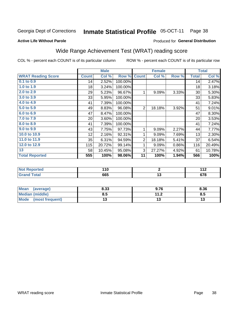#### **Inmate Statistical Profile 05-OCT-11** Page 38

### **Active Life Without Parole**

## Produced for General Distribution

# Wide Range Achievement Test (WRAT) reading score

COL % - percent each COUNT is of its particular column

|                           |              | <b>Male</b> |         |                | <b>Female</b>   |       |              | <b>Total</b>       |
|---------------------------|--------------|-------------|---------|----------------|-----------------|-------|--------------|--------------------|
| <b>WRAT Reading Score</b> | <b>Count</b> | Col %       | Row %   | <b>Count</b>   | Col %           | Row % | <b>Total</b> | Col %              |
| 0.1 to 0.9                | 14           | 2.52%       | 100.00% |                |                 |       | 14           | 2.47%              |
| 1.0 to 1.9                | 18           | 3.24%       | 100.00% |                |                 |       | 18           | 3.18%              |
| 2.0 to 2.9                | 29           | 5.23%       | 96.67%  | 1              | 9.09%           | 3.33% | 30           | 5.30%              |
| 3.0 to 3.9                | 33           | 5.95%       | 100.00% |                |                 |       | 33           | 5.83%              |
| 4.0 to 4.9                | 41           | 7.39%       | 100.00% |                |                 |       | 41           | 7.24%              |
| 5.0 to 5.9                | 49           | 8.83%       | 96.08%  | $\overline{2}$ | 18.18%          | 3.92% | 51           | 9.01%              |
| 6.0 to 6.9                | 47           | 8.47%       | 100.00% |                |                 |       | 47           | 8.30%              |
| 7.0 to 7.9                | 20           | 3.60%       | 100.00% |                |                 |       | 20           | 3.53%              |
| 8.0 to 8.9                | 41           | 7.39%       | 100.00% |                |                 |       | 41           | 7.24%              |
| 9.0 to 9.9                | 43           | 7.75%       | 97.73%  | 1              | 9.09%           | 2.27% | 44           | 7.77%              |
| 10.0 to 10.9              | 12           | 2.16%       | 92.31%  | 1              | 9.09%           | 7.69% | 13           | 2.30%              |
| 11.0 to $11.9$            | 35           | 6.31%       | 94.59%  | $\overline{2}$ | 18.18%          | 5.41% | 37           | 6.54%              |
| 12.0 to 12.9              | 115          | 20.72%      | 99.14%  | 1              | 9.09%           | 0.86% | 116          | 20.49%             |
| 13                        | 58           | 10.45%      | 95.08%  | 3              | 27.27%          | 4.92% | 61           | 10.78%             |
| <b>Total Reported</b>     | 555          | 100%        | 98.06%  | 11             | 100%            | 1.94% | 566          | $\overline{100\%}$ |
|                           |              |             |         |                |                 |       |              |                    |
| <b>Not Reported</b>       |              | 110         |         |                | $\mathbf 2$     |       |              | 112                |
| <b>Grand Total</b>        |              | 665         |         |                | $\overline{13}$ |       |              | 678                |

| <b>Mean</b><br>(average) | 8.33 | 9.76 | 8.36 |
|--------------------------|------|------|------|
| <b>Median (middle)</b>   | 8.5  | 11.2 | Ծ.J  |
| Mode<br>(most frequent)  |      | יי   | טו   |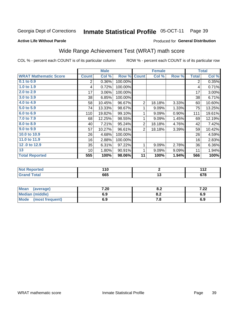#### **Inmate Statistical Profile 05-OCT-11** Page 39

### **Active Life Without Parole**

### Produced for General Distribution

# Wide Range Achievement Test (WRAT) math score

COL % - percent each COUNT is of its particular column

|                              |              | <b>Male</b> |         |                  | <b>Female</b>   |       |              | <b>Total</b> |
|------------------------------|--------------|-------------|---------|------------------|-----------------|-------|--------------|--------------|
| <b>WRAT Mathematic Score</b> | <b>Count</b> | Col %       | Row %   | <b>Count</b>     | Col %           | Row % | <b>Total</b> | Col %        |
| $0.1$ to $0.9$               | 2            | 0.36%       | 100.00% |                  |                 |       | 2            | 0.35%        |
| 1.0 to $1.9$                 | 4            | 0.72%       | 100.00% |                  |                 |       | 4            | 0.71%        |
| 2.0 to 2.9                   | 17           | 3.06%       | 100.00% |                  |                 |       | 17           | 3.00%        |
| 3.0 to 3.9                   | 38           | 6.85%       | 100.00% |                  |                 |       | 38           | 6.71%        |
| 4.0 to 4.9                   | 58           | 10.45%      | 96.67%  | $\overline{2}$   | 18.18%          | 3.33% | 60           | 10.60%       |
| 5.0 to 5.9                   | 74           | 13.33%      | 98.67%  | 1                | 9.09%           | 1.33% | 75           | 13.25%       |
| 6.0 to 6.9                   | 110          | 19.82%      | 99.10%  | 1                | 9.09%           | 0.90% | 111          | 19.61%       |
| 7.0 to 7.9                   | 68           | 12.25%      | 98.55%  | 1                | 9.09%           | 1.45% | 69           | 12.19%       |
| 8.0 to 8.9                   | 40           | 7.21%       | 95.24%  | $\boldsymbol{2}$ | 18.18%          | 4.76% | 42           | 7.42%        |
| 9.0 to 9.9                   | 57           | 10.27%      | 96.61%  | $\overline{2}$   | 18.18%          | 3.39% | 59           | 10.42%       |
| 10.0 to 10.9                 | 26           | 4.68%       | 100.00% |                  |                 |       | 26           | 4.59%        |
| 11.0 to 11.9                 | 16           | 2.88%       | 100.00% |                  |                 |       | 16           | 2.83%        |
| 12.0 to 12.9                 | 35           | 6.31%       | 97.22%  | 1                | 9.09%           | 2.78% | 36           | $6.36\%$     |
| 13                           | 10           | 1.80%       | 90.91%  | 1                | 9.09%           | 9.09% | 11           | 1.94%        |
| <b>Total Reported</b>        | 555          | 100%        | 98.06%  | 11               | 100%            | 1.94% | 566          | 100%         |
|                              |              |             |         |                  |                 |       |              |              |
| <b>Not Reported</b>          |              | 110         |         |                  | $\mathbf{2}$    |       |              | 112          |
| <b>Grand Total</b>           |              | 665         |         |                  | $\overline{13}$ |       |              | 678          |
|                              |              |             |         |                  |                 |       |              |              |

| Mean (average)         | 7.20 | 0.Z  | ר ה<br>1.ZZ |
|------------------------|------|------|-------------|
| <b>Median (middle)</b> | 6.9  | 0.Z  | 6.9         |
| Mode (most frequent)   | 6.9  | 7. O | 6.9         |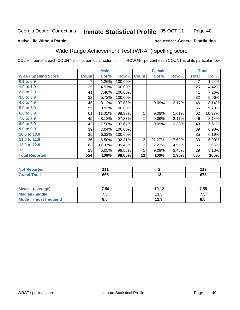#### **Inmate Statistical Profile 05-OCT-11** Page 40

## **Active Life Without Parole**

## Produced for General Distribution

# Wide Range Achievement Test (WRAT) spelling score

COL % - percent each COUNT is of its particular column

|                            |              | <b>Male</b> |         |              | <b>Female</b>  |       |              | <b>Total</b> |
|----------------------------|--------------|-------------|---------|--------------|----------------|-------|--------------|--------------|
| <b>WRAT Spelling Score</b> | <b>Count</b> | Col %       | Row %   | <b>Count</b> | Col %          | Row % | <b>Total</b> | Col %        |
| $0.1$ to $0.9$             | 7            | 1.26%       | 100.00% |              |                |       | 7            | 1.24%        |
| 1.0 to 1.9                 | 25           | 4.51%       | 100.00% |              |                |       | 25           | 4.42%        |
| 2.0 to 2.9                 | 41           | 7.40%       | 100.00% |              |                |       | 41           | 7.26%        |
| 3.0 to 3.9                 | 32           | 5.78%       | 100.00% |              |                |       | 32           | 5.66%        |
| 4.0 to 4.9                 | 45           | 8.12%       | 97.83%  | 1            | 9.09%          | 2.17% | 46           | 8.14%        |
| 5.0 to 5.9                 | 55           | 9.93%       | 100.00% |              |                |       | 55           | 9.73%        |
| 6.0 to 6.9                 | 61           | 11.01%      | 98.39%  | 1            | 9.09%          | 1.61% | 62           | 10.97%       |
| 7.0 to 7.9                 | 45           | 8.12%       | 97.83%  | 1            | 9.09%          | 2.17% | 46           | 8.14%        |
| 8.0 to 8.9                 | 42           | 7.58%       | 97.67%  | 1            | 9.09%          | 2.33% | 43           | 7.61%        |
| 9.0 to 9.9                 | 39           | 7.04%       | 100.00% |              |                |       | 39           | 6.90%        |
| 10.0 to 10.9               | 35           | 6.32%       | 100.00% |              |                |       | 35           | 6.19%        |
| 11.0 to 11.9               | 36           | 6.50%       | 92.31%  | 3            | 27.27%         | 7.69% | 39           | 6.90%        |
| 12.0 to 12.9               | 63           | 11.37%      | 95.45%  | 3            | 27.27%         | 4.55% | 66           | 11.68%       |
| 13                         | 28           | 5.05%       | 96.55%  | 1            | 9.09%          | 3.45% | 29           | 5.13%        |
| <b>Total Reported</b>      | 554          | 100%        | 98.05%  | 11           | 100%           | 1.95% | 565          | 100%         |
|                            |              |             |         |              |                |       |              |              |
| <b>Not Reported</b>        |              | 111         |         |              | $\overline{2}$ |       |              | 113          |
| <b>Grand Total</b>         |              | 665         |         |              | 13             |       |              | 678          |
|                            |              |             |         |              |                |       |              |              |
| Mean<br><i>(average)</i>   |              | 7.50        |         |              | 10 12          |       |              | 755          |

| Mean<br>(average)              | 7.50 | 10.12          | 7.55     |
|--------------------------------|------|----------------|----------|
| <b>Median (middle)</b>         | .    | 14 O<br>       | .        |
| <b>Mode</b><br>(most frequent) | o.J  | 1 C C<br>د.ء ا | o<br>o.o |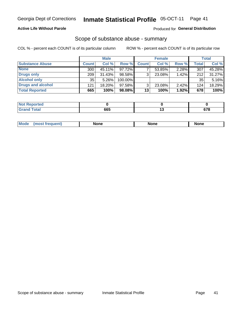## **Active Life Without Parole**

## **Produced for General Distribution**

## Scope of substance abuse - summary

COL % - percent each COUNT is of its particular column

|                        |              | <b>Male</b> |         |              | <b>Female</b> |          |              | <b>Total</b> |
|------------------------|--------------|-------------|---------|--------------|---------------|----------|--------------|--------------|
| <b>Substance Abuse</b> | <b>Count</b> | Col %       | Row %   | <b>Count</b> | Col %         | Row %    | <b>Total</b> | Col %        |
| <b>None</b>            | 300          | 45.11%      | 97.72%  |              | 53.85%        | $2.28\%$ | 307          | 45.28%       |
| <b>Drugs only</b>      | 209          | $31.43\%$   | 98.58%  |              | 23.08%        | 1.42%    | 212          | 31.27%       |
| <b>Alcohol only</b>    | 35           | $5.26\%$    | 100.00% |              |               |          | 35           | 5.16%        |
| Drugs and alcohol      | 121          | $18.20\%$   | 97.58%  |              | 23.08%        | 2.42%    | 124          | 18.29%       |
| <b>Total Reported</b>  | 665          | 100%        | 98.08%  | 13           | 100%          | 1.92%    | 678          | 100%         |

| <b>Not</b><br>Reported       |     |                   |
|------------------------------|-----|-------------------|
| <b>Total</b><br><b>Grand</b> | 665 | יים<br>. <u>.</u> |

| <b>Mod</b><br>'one<br>None<br><b>None</b> |
|-------------------------------------------|
|-------------------------------------------|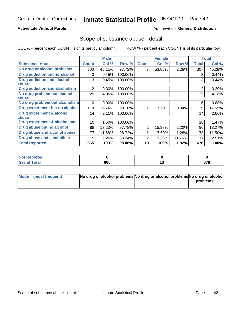## **Active Life Without Parole**

## **Produced for General Distribution**

## Scope of substance abuse - detail

COL % - percent each COUNT is of its particular column

|                                         |              | <b>Male</b> |         |              | <b>Female</b> |        |                | <b>Total</b> |
|-----------------------------------------|--------------|-------------|---------|--------------|---------------|--------|----------------|--------------|
| <b>Substance Abuse</b>                  | <b>Count</b> | Col %       | Row %   | <b>Count</b> | Col %         | Row %  | <b>Total</b>   | Col %        |
| No drug or alcohol problems             | 300          | 45.11%      | 97.72%  |              | 53.85%        | 2.28%  | 307            | 45.28%       |
| Drug addiction but no alcohol           | 3            | 0.45%       | 100.00% |              |               |        | 3              | 0.44%        |
| <b>Drug addiction and alcohol</b>       | 3            | 0.45%       | 100.00% |              |               |        | 3              | 0.44%        |
| <b>labuse</b>                           |              |             |         |              |               |        |                |              |
| <b>Drug addiction and alcoholism</b>    | 2            | 0.30%       | 100.00% |              |               |        | $\overline{2}$ | 0.29%        |
| No drug problem but alcohol             | 29           | 4.36%       | 100.00% |              |               |        | 29             | 4.28%        |
| abuse                                   |              |             |         |              |               |        |                |              |
| No drug problem but alcoholism          | 6            | 0.90%       | 100.00% |              |               |        | 6              | 0.88%        |
| Drug experiment but no alcohol          | 118          | 17.74%      | 99.16%  |              | 7.69%         | 0.84%  | 119            | 17.55%       |
| <b>Drug experiment &amp; alcohol</b>    | 14           | 2.11%       | 100.00% |              |               |        | 14             | 2.06%        |
| abuse                                   |              |             |         |              |               |        |                |              |
| <b>Drug experiment &amp; alcoholism</b> | 10           | 1.50%       | 100.00% |              |               |        | 10             | 1.47%        |
| Drug abuse but no alcohol               | 88           | 13.23%      | 97.78%  | 2            | 15.38%        | 2.22%  | 90             | 13.27%       |
| Drug abuse and alcohol abuse            | 77           | 11.58%      | 98.72%  |              | 7.69%         | 1.28%  | 78             | 11.50%       |
| <b>Drug abuse and alcoholism</b>        | 15           | 2.26%       | 88.24%  | 2            | 15.38%        | 11.76% | 17             | 2.51%        |
| <b>Total Reported</b>                   | 665          | 100%        | 98.08%  | 13           | 100%          | 1.92%  | 678            | 100%         |

| ported<br>NOT          |     |    |            |
|------------------------|-----|----|------------|
| $\sim$ $\sim$<br>_____ | 665 | יי | c70<br>010 |

| Mode (most frequent) | No drug or alcohol problems No drug or alcohol problems No drug or alcohol |          |
|----------------------|----------------------------------------------------------------------------|----------|
|                      |                                                                            | problems |
|                      |                                                                            |          |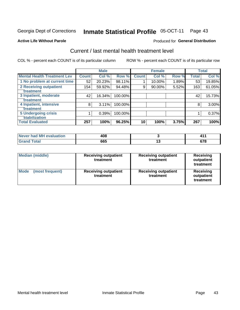#### **Inmate Statistical Profile 05-OCT-11** Page 43

### **Active Life Without Parole**

## **Produced for General Distribution**

# Current / last mental health treatment level

COL % - percent each COUNT is of its particular column

|                                                    |              | <b>Male</b> |         |              | <b>Female</b> |       |              | <b>Total</b> |
|----------------------------------------------------|--------------|-------------|---------|--------------|---------------|-------|--------------|--------------|
| <b>Mental Health Treatment Lev</b>                 | <b>Count</b> | Col %       | Row %   | <b>Count</b> | Col %         | Row % | <b>Total</b> | Col %        |
| 1 No problem at current time                       | 52           | 20.23%      | 98.11%  |              | 10.00%        | 1.89% | 53           | 19.85%       |
| 2 Receiving outpatient<br><b>Treatment</b>         | 154          | 59.92%      | 94.48%  | 9            | 90.00%        | 5.52% | 163          | 61.05%       |
| 3 Inpatient, moderate<br>Treatment                 | 42           | 16.34%      | 100.00% |              |               |       | 42           | 15.73%       |
| 4 Inpatient, intensive<br>Treatment                | 8            | 3.11%       | 100.00% |              |               |       | 8            | 3.00%        |
| <b>5 Undergoing crisis</b><br><b>stabilization</b> |              | 0.39%       | 100.00% |              |               |       |              | 0.37%        |
| <b>Total Evaluated</b>                             | 257          | 100%        | 96.25%  | 10           | 100%          | 3.75% | 267          | 100%         |

| had MH<br>uation<br>$\mathbf{A} \mathbf{V} \mathbf{A}$<br>Never I | 408<br>$ -$ |     |     |
|-------------------------------------------------------------------|-------------|-----|-----|
|                                                                   | 665<br>---  | . v | --- |

| <b>Median (middle)</b>         | <b>Receiving outpatient</b><br>treatment | <b>Receiving outpatient</b><br>treatment | <b>Receiving</b><br>outpatient<br>treatment |  |
|--------------------------------|------------------------------------------|------------------------------------------|---------------------------------------------|--|
| <b>Mode</b><br>(most frequent) | <b>Receiving outpatient</b><br>treatment | <b>Receiving outpatient</b><br>treatment | <b>Receiving</b><br>outpatient<br>treatment |  |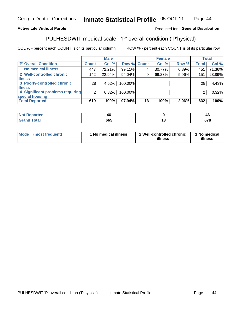#### **Inmate Statistical Profile 05-OCT-11** Page 44

## **Active Life Without Parole**

## Produced for General Distribution

# PULHESDWIT medical scale - 'P' overall condition ('P'hysical)

COL % - percent each COUNT is of its particular column

|                                  |                | <b>Male</b> |                    |    | <b>Female</b> |       |              | <b>Total</b> |
|----------------------------------|----------------|-------------|--------------------|----|---------------|-------|--------------|--------------|
| 'P' Overall Condition            | <b>Count</b>   | Col %       | <b>Row % Count</b> |    | Col %         | Row % | <b>Total</b> | Col %        |
| 1 No medical illness             | 447            | 72.21%      | 99.11%             |    | 30.77%        | 0.89% | 451          | 71.36%       |
| 2 Well-controlled chronic        | 142            | 22.94%      | 94.04%             | 9  | 69.23%        | 5.96% | 151          | 23.89%       |
| <b>illness</b>                   |                |             |                    |    |               |       |              |              |
| 3 Poorly-controlled chronic      | 28             | 4.52%       | 100.00%            |    |               |       | 28           | 4.43%        |
| <b>illness</b>                   |                |             |                    |    |               |       |              |              |
| 4 Significant problems requiring | $\overline{2}$ | 0.32%       | 100.00%            |    |               |       | 2            | 0.32%        |
| special housing                  |                |             |                    |    |               |       |              |              |
| <b>Total Reported</b>            | 619            | 100%        | 97.94%             | 13 | 100%          | 2.06% | 632          | 100%         |

|        | ⁄1 I<br>-- | - 71 P<br>- 7 |
|--------|------------|---------------|
| ו טנמו | 665        | ~70           |

| <b>Mode</b> | (most frequent) | 1 No medical illness | 2 Well-controlled chronic<br>illness | 1 No medical<br>illness |
|-------------|-----------------|----------------------|--------------------------------------|-------------------------|
|-------------|-----------------|----------------------|--------------------------------------|-------------------------|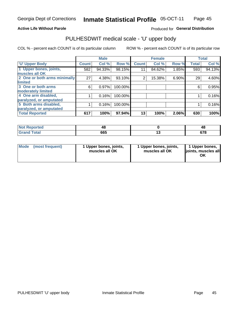## **Active Life Without Parole**

## Produced for General Distribution

# PULHESDWIT medical scale - 'U' upper body

COL % - percent each COUNT is of its particular column

|                              |              | <b>Male</b> |         |              | <b>Female</b> |       |              | <b>Total</b> |
|------------------------------|--------------|-------------|---------|--------------|---------------|-------|--------------|--------------|
| <b>'U' Upper Body</b>        | <b>Count</b> | Col %       | Row %   | <b>Count</b> | Col %         | Row % | <b>Total</b> | Col %        |
| 1 Upper bones, joints,       | 582          | 94.33%      | 98.15%  | 11           | 84.62%        | 1.85% | 593          | 94.13%       |
| muscles all OK               |              |             |         |              |               |       |              |              |
| 2 One or both arms minimally | 27           | 4.38%       | 93.10%  | 2            | 15.38%        | 6.90% | 29           | 4.60%        |
| limited                      |              |             |         |              |               |       |              |              |
| 3 One or both arms           | 6            | 0.97%       | 100.00% |              |               |       | 6            | 0.95%        |
| moderately limited           |              |             |         |              |               |       |              |              |
| 4 One arm disabled,          |              | 0.16%       | 100.00% |              |               |       |              | 0.16%        |
| paralyzed, or amputated      |              |             |         |              |               |       |              |              |
| 5 Both arms disabled,        |              | 0.16%       | 100.00% |              |               |       |              | 0.16%        |
| paralyzed, or amputated      |              |             |         |              |               |       |              |              |
| <b>Total Reported</b>        | 617          | 100%        | 97.94%  | 13           | 100%          | 2.06% | 630          | 100%         |

| <b>Not Reported</b> |     | 4C            |
|---------------------|-----|---------------|
| <b>Grand Total</b>  | 665 | <br>r70<br>v, |

|  | Mode (most frequent) | 1 Upper bones, joints,<br>muscles all OK | 1 Upper bones, joints,<br>muscles all OK | 1 Upper bones,<br>ljoints, muscles all<br>ОK |
|--|----------------------|------------------------------------------|------------------------------------------|----------------------------------------------|
|--|----------------------|------------------------------------------|------------------------------------------|----------------------------------------------|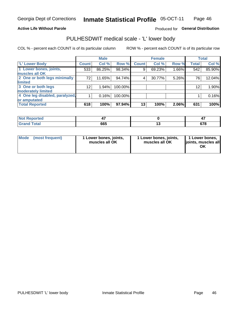## **Active Life Without Parole**

## Produced for General Distribution

# PULHESDWIT medical scale - 'L' lower body

COL % - percent each COUNT is of its particular column

|                                |                 | <b>Male</b> |         |              | <b>Female</b> |       |              | <b>Total</b> |
|--------------------------------|-----------------|-------------|---------|--------------|---------------|-------|--------------|--------------|
| 'L' Lower Body                 | <b>Count</b>    | Col %       | Row %   | <b>Count</b> | Col %         | Row % | <b>Total</b> | Col %        |
| 1 Lower bones, joints,         | 533             | 86.25%      | 98.34%  | 9            | 69.23%        | 1.66% | 542          | 85.90%       |
| muscles all OK                 |                 |             |         |              |               |       |              |              |
| 2 One or both legs minimally   | 72              | 11.65%      | 94.74%  | 4            | 30.77%        | 5.26% | 76           | 12.04%       |
| limited                        |                 |             |         |              |               |       |              |              |
| 3 One or both legs             | 12 <sub>2</sub> | 1.94%       | 100.00% |              |               |       | 12           | 1.90%        |
| moderately limited             |                 |             |         |              |               |       |              |              |
| 4 One leg disabled, paralyzed, |                 | 0.16%       | 100.00% |              |               |       |              | 0.16%        |
| or amputated                   |                 |             |         |              |               |       |              |              |
| <b>Total Reported</b>          | 618             | 100%        | 97.94%  | 13           | 100%          | 2.06% | 631          | 100%         |

| <b>Not Reported</b> |     |             |
|---------------------|-----|-------------|
| <b>Grand Total</b>  | 665 | ~70<br>07 O |

| Mode | (most frequent) | 1 Lower bones, joints,<br>muscles all OK | 1 Lower bones, joints,<br>muscles all OK | 1 Lower bones,<br>ljoints, muscles all<br>OK |
|------|-----------------|------------------------------------------|------------------------------------------|----------------------------------------------|
|------|-----------------|------------------------------------------|------------------------------------------|----------------------------------------------|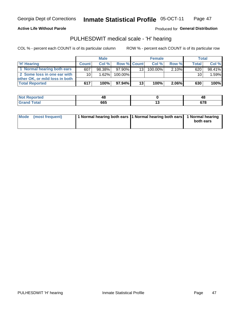**Active Life Without Parole** 

Produced for General Distribution

## PULHESDWIT medical scale - 'H' hearing

COL % - percent each COUNT is of its particular column

|                                |                 | <b>Male</b> |                    |    | <b>Female</b> |          | <b>Total</b> |        |
|--------------------------------|-----------------|-------------|--------------------|----|---------------|----------|--------------|--------|
| <b>H'</b> Hearing              | <b>Count</b>    | Col%        | <b>Row % Count</b> |    | Col %         | Row %    | <b>Total</b> | Col %  |
| 1 Normal hearing both ears     | 607             | 98.38%      | $97.90\%$          | 13 | $100.00\%$    | 2.10%    | 620          | 98.41% |
| 2 Some loss in one ear with    | 10 <sup>1</sup> | 1.62%       | 100.00%            |    |               |          | 10           | 1.59%  |
| other OK, or mild loss in both |                 |             |                    |    |               |          |              |        |
| <b>Total Reported</b>          | 617             | 100%        | 97.94%             | 13 | 100%          | $2.06\%$ | 630          | 100%   |

| --<br>m<br>. | ΛS<br>. .<br>$\sim$       |        | т.<br>__         |
|--------------|---------------------------|--------|------------------|
|              | <b>CCF</b><br>בספ<br>$ -$ | $\sim$ | c70<br>$\cdot$ . |

|  | Mode (most frequent) | 1 Normal hearing both ears 1 Normal hearing both ears 1 Normal hearing |  | both ears |
|--|----------------------|------------------------------------------------------------------------|--|-----------|
|--|----------------------|------------------------------------------------------------------------|--|-----------|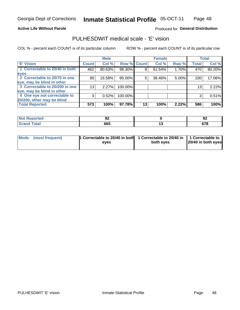**Active Life Without Parole** 

## Produced for General Distribution

## PULHESDWIT medical scale - 'E' vision

COL % - percent each COUNT is of its particular column

|                                |                 | <b>Male</b> |             |    | <b>Female</b> |       |              | <b>Total</b> |
|--------------------------------|-----------------|-------------|-------------|----|---------------|-------|--------------|--------------|
| <b>E' Vision</b>               | <b>Count</b>    | Col %       | Row % Count |    | Col %         | Row % | <b>Total</b> | Col %        |
| 1 Correctable to 20/40 in both | 462             | 80.63%      | 98.30%      | 8  | 61.54%        | 1.70% | 470          | 80.20%       |
| eyes                           |                 |             |             |    |               |       |              |              |
| 2 Correctable to 20/70 in one  | 95              | 16.58%      | 95.00%      | 5  | 38.46%        | 5.00% | 100          | 17.06%       |
| eye, may be blind in other     |                 |             |             |    |               |       |              |              |
| 3 Correctable to 20/200 in one | 13 <sub>1</sub> | 2.27%       | 100.00%     |    |               |       | 13           | 2.22%        |
| eye, may be blind in other     |                 |             |             |    |               |       |              |              |
| 4 One eye not correctable to   | 3               | 0.52%       | 100.00%     |    |               |       | 3            | 0.51%        |
| 20/200, other may be blind     |                 |             |             |    |               |       |              |              |
| <b>Total Reported</b>          | 573             | 100%        | 97.78%      | 13 | 100%          | 2.22% | 586          | 100%         |

| <b>Not Reported</b><br>$\cdots$ | JŁ  |         | ~<br>9Ł     |
|---------------------------------|-----|---------|-------------|
| <b>Total</b>                    | 665 | $\cdot$ | c70<br>07 O |

| Mode (most frequent) | <sup>1</sup> Correctable to 20/40 in both 1 Correctable to 20/40 in 1 Correctable to<br>eves | both eyes | 20/40 in both eyes |
|----------------------|----------------------------------------------------------------------------------------------|-----------|--------------------|
|                      |                                                                                              |           |                    |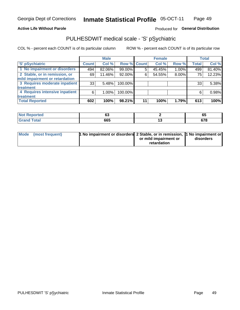## **Active Life Without Parole**

## Produced for General Distribution

# PULHESDWIT medical scale - 'S' pSychiatric

COL % - percent each COUNT is of its particular column

|                                |              | <b>Male</b> |             |    | <b>Female</b> |       |              | <b>Total</b> |
|--------------------------------|--------------|-------------|-------------|----|---------------|-------|--------------|--------------|
| 'S' pSychiatric                | <b>Count</b> | Col %       | Row % Count |    | Col %         | Row % | <b>Total</b> | Col %        |
| 1 No impairment or disorders   | 494          | 82.06%      | 99.00%      |    | 45.45%        | 1.00% | 499          | 81.40%       |
| 2 Stable, or in remission, or  | 69           | 11.46%      | 92.00%      | 6  | 54.55%        | 8.00% | 75           | 12.23%       |
| mild impairment or retardation |              |             |             |    |               |       |              |              |
| 3 Requires moderate inpatient  | 33           | 5.48%       | 100.00%     |    |               |       | 33           | 5.38%        |
| treatment                      |              |             |             |    |               |       |              |              |
| 4 Requires intensive inpatient | 6            | $1.00\%$    | 100.00%     |    |               |       | 6            | 0.98%        |
| treatment                      |              |             |             |    |               |       |              |              |
| <b>Total Reported</b>          | 602          | 100%        | 98.21%      | 11 | 100%          | 1.79% | 613          | 100%         |

| тео | . .<br>u.           | <b>D</b>               |
|-----|---------------------|------------------------|
|     | 00F<br>ხხე<br>- - - | $\sim$<br>ט ו כ<br>. . |

| Mode (most frequent) | <sup>1</sup> No impairment or disorders 2 Stable, or in remission, <sup>1</sup> No impairment or |                       |           |
|----------------------|--------------------------------------------------------------------------------------------------|-----------------------|-----------|
|                      |                                                                                                  | or mild impairment or | disorders |
|                      |                                                                                                  | retardation           |           |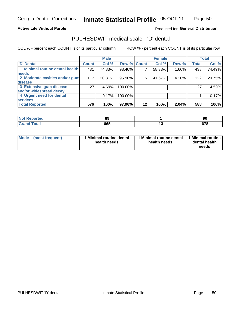## **Active Life Without Parole**

## Produced for General Distribution

## PULHESDWIT medical scale - 'D' dental

COL % - percent each COUNT is of its particular column

|                                 |              | <b>Male</b> |             |    | <b>Female</b> |       |              | <b>Total</b> |
|---------------------------------|--------------|-------------|-------------|----|---------------|-------|--------------|--------------|
| 'D' Dental                      | <b>Count</b> | Col %       | Row % Count |    | Col %         | Row % | <b>Total</b> | Col %        |
| 1 Minimal routine dental health | 431          | 74.83%      | 98.40%      |    | 58.33%        | 1.60% | 438          | 74.49%       |
| <b>needs</b>                    |              |             |             |    |               |       |              |              |
| 2 Moderate cavities and/or gum  | 117          | 20.31%      | 95.90%      | 5  | 41.67%        | 4.10% | 122          | 20.75%       |
| disease                         |              |             |             |    |               |       |              |              |
| 3 Extensive gum disease         | 27           | 4.69%       | 100.00%     |    |               |       | 27           | 4.59%        |
| and/or widespread decay         |              |             |             |    |               |       |              |              |
| 4 Urgent need for dental        |              | 0.17%       | 100.00%     |    |               |       |              | 0.17%        |
| <b>services</b>                 |              |             |             |    |               |       |              |              |
| <b>Total Reported</b>           | 576          | 100%        | 97.96%      | 12 | 100%          | 2.04% | 588          | 100%         |

| المنتصب المساء<br>rtea<br>N<br>. | o   |           | ゥ               |
|----------------------------------|-----|-----------|-----------------|
| $f \wedge f \wedge f$            | 665 | 1 V<br>__ | $\sim$<br>u i u |

| <b>Mode</b> | (most frequent) | Minimal routine dental<br>health needs | 1 Minimal routine dental 11 Minimal routine<br>health needs | dental health<br>needs |
|-------------|-----------------|----------------------------------------|-------------------------------------------------------------|------------------------|
|-------------|-----------------|----------------------------------------|-------------------------------------------------------------|------------------------|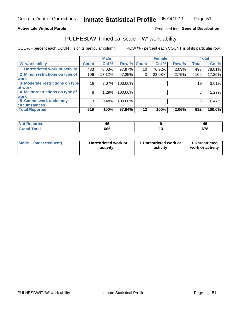## **Active Life Without Parole**

## Produced for General Distribution

## PULHESDWIT medical scale - 'W' work ability

COL % - percent each COUNT is of its particular column

|                                 |              | <b>Male</b> |         |             | <b>Female</b> |       |              | <b>Total</b> |
|---------------------------------|--------------|-------------|---------|-------------|---------------|-------|--------------|--------------|
| <b>W' work ability</b>          | <b>Count</b> | Col %       |         | Row % Count | Col %         | Row % | <b>Total</b> | Col %        |
| 1 Unrestricted work or activity | 483          | 78.03%      | 97.97%  | 10          | 76.92%        | 2.03% | 493          | 78.01%       |
| 2 Minor restrictions on type of | 106          | 17.12%      | 97.25%  | 3           | 23.08%        | 2.75% | 109          | 17.25%       |
| <b>work</b>                     |              |             |         |             |               |       |              |              |
| 3 Moderate restrictions on type | 19           | $3.07\%$    | 100.00% |             |               |       | 19           | 3.01%        |
| of work                         |              |             |         |             |               |       |              |              |
| 4 Major restrictions on type of | 8            | 1.29%       | 100.00% |             |               |       | 8            | 1.27%        |
| <b>work</b>                     |              |             |         |             |               |       |              |              |
| 5 Cannot work under any         | 3            | 0.48%       | 100.00% |             |               |       | 3            | 0.47%        |
| <b>circumstances</b>            |              |             |         |             |               |       |              |              |
| <b>Total Reported</b>           | 619          | 100%        | 97.94%  | 13          | 100%          | 2.06% | 632          | 100.0%       |

| <b>Not Reported</b> | ⁄1 I | 46                 |
|---------------------|------|--------------------|
| <b>Grand Total</b>  | 665  | <b>C70</b><br>07 O |

| <b>Mode</b> | (most frequent) | 1 Unrestricted work or<br>activity | 1 Unrestricted work or<br>activity | 1 Unrestricted<br>work or activity |
|-------------|-----------------|------------------------------------|------------------------------------|------------------------------------|
|-------------|-----------------|------------------------------------|------------------------------------|------------------------------------|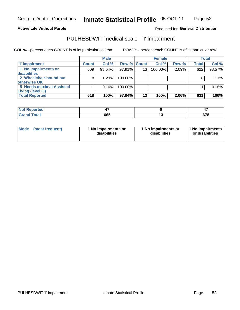### **Active Life Without Parole**

## Produced for General Distribution

# PULHESDWIT medical scale - 'I' impairment

|                          |              | <b>Male</b> |                    |    | <b>Female</b> |          |              | <b>Total</b> |
|--------------------------|--------------|-------------|--------------------|----|---------------|----------|--------------|--------------|
| 'l' Impairment           | <b>Count</b> | Col %       | <b>Row % Count</b> |    | Col %         | Row %    | <b>Total</b> | Col %        |
| 1 No impairments or      | 609          | 98.54%      | $97.91\%$          | 13 | 100.00%       | 2.09%    | 622          | 98.57%       |
| disabilities             |              |             |                    |    |               |          |              |              |
| 2 Wheelchair-bound but   | 8            | 1.29%       | 100.00%            |    |               |          |              | 1.27%        |
| otherwise OK             |              |             |                    |    |               |          |              |              |
| 5 Needs maximal Assisted |              | 0.16%       | $100.00\%$         |    |               |          |              | 0.16%        |
| Living (level III)       |              |             |                    |    |               |          |              |              |
| <b>Total Reported</b>    | 618          | 100%        | $97.94\%$          | 13 | 100%          | $2.06\%$ | 631          | 100%         |

| <b>Not Reported</b>  |     | −.          |
|----------------------|-----|-------------|
| <b>Total</b><br>Croy | 665 | ~--<br>JI U |

| <b>Mode</b>     | 1 No impairments or | 1 No impairments or | 1 1 No impairments |
|-----------------|---------------------|---------------------|--------------------|
| (most frequent) | disabilities        | disabilities        | or disabilities    |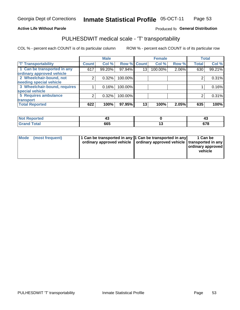## **Active Life Without Parole**

## Produced fo General Distribution

# PULHESDWIT medical scale - 'T' transportability

COL % - percent each COUNT is of its particular column

|                                                          |              | <b>Male</b> |         |             | <b>Female</b> |       |              | <b>Total</b> |
|----------------------------------------------------------|--------------|-------------|---------|-------------|---------------|-------|--------------|--------------|
| <b>T' Transportability</b>                               | <b>Count</b> | Col %       |         | Row % Count | Col %         | Row % | <b>Total</b> | Col %        |
| 1 Can be transported in any<br>ordinary approved vehicle | 617          | 99.20%      | 97.94%  | 13          | 100.00%       | 2.06% | 630          | 99.21%       |
| 2 Wheelchair-bound, not                                  | 2            | 0.32%       | 100.00% |             |               |       |              | 0.31%        |
| needing special vehicle                                  |              |             |         |             |               |       |              |              |
| 3 Wheelchair-bound, requires                             |              | 0.16%       | 100.00% |             |               |       |              | 0.16%        |
| special vehicle                                          |              |             |         |             |               |       |              |              |
| 5 Requires ambulance                                     | 2            | 0.32%       | 100.00% |             |               |       |              | 0.31%        |
| transport                                                |              |             |         |             |               |       |              |              |
| <b>Total Reported</b>                                    | 622          | 100%        | 97.95%  | 13          | 100%          | 2.05% | 635          | 100%         |

| tonted<br>w | ∼   | ∼              |
|-------------|-----|----------------|
|             | 665 | $\sim$<br>JI G |

| <b>Mode</b> | (most frequent) | 1 Can be transported in any 1 Can be transported in any | ordinary approved vehicle   ordinary approved vehicle   transported in any | 1 Can be<br>  ordinary approved  <br>vehicle |
|-------------|-----------------|---------------------------------------------------------|----------------------------------------------------------------------------|----------------------------------------------|
|-------------|-----------------|---------------------------------------------------------|----------------------------------------------------------------------------|----------------------------------------------|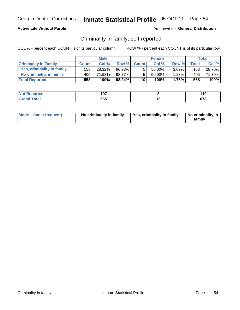## **Active Life Without Parole**

## Produced for General Distribution

## Criminality in family, self-reported

COL % - percent each COUNT is of its particular column

|                              |              | <b>Male</b> |           |              | <b>Female</b> |          |       | Total  |
|------------------------------|--------------|-------------|-----------|--------------|---------------|----------|-------|--------|
| <b>Criminality In Family</b> | <b>Count</b> | Col %       | Row %     | <b>Count</b> | Col %         | Row %    | Total | Col %  |
| Yes, criminality in family   | 158          | 28.32%      | 96.93%    | 5            | 50.00%        | $3.07\%$ | 163   | 28.70% |
| No criminality in family     | 400          | 71.68%      | 98.77%    | 5            | $50.00\%$ ,   | 1.23%    | 405   | 71.30% |
| <b>Total Reported</b>        | 558          | 100%        | $98.24\%$ | 10           | 100%          | 1.76%    | 568   | 100%   |

| <b>Not Reported</b>    | 1 N 7 | 14 M<br>. . U |
|------------------------|-------|---------------|
| <b>otal</b><br>' Grano | 665   | 678           |

|  | Mode (most frequent) | No criminality in family | Yes, criminality in family | No criminality in<br>family |
|--|----------------------|--------------------------|----------------------------|-----------------------------|
|--|----------------------|--------------------------|----------------------------|-----------------------------|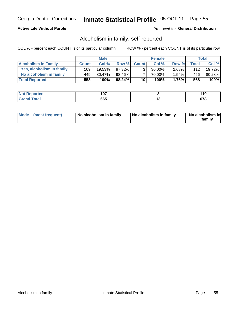## **Active Life Without Parole**

## Produced for General Distribution

## Alcoholism in family, self-reported

COL % - percent each COUNT is of its particular column

|                             |              | <b>Male</b> |        |                 | <b>Female</b> |          |       | Total  |
|-----------------------------|--------------|-------------|--------|-----------------|---------------|----------|-------|--------|
| <b>Alcoholism In Family</b> | <b>Count</b> | Col%        | Row %  | <b>Count</b>    | Col %         | Row %    | Total | Col %  |
| Yes, alcoholism in family   | 109          | $19.53\%$   | 97.32% | ર               | 30.00%        | $2.68\%$ | 112   | 19.72% |
| No alcoholism in family     | 449          | 80.47%      | 98.46% |                 | 70.00%        | $1.54\%$ | 456   | 80.28% |
| <b>Total Reported</b>       | 558          | 100%        | 98.24% | 10 <sup>1</sup> | 100%          | $1.76\%$ | 568   | 100%   |

| <b>Not Reported</b>     | 107 |     | . IV         |
|-------------------------|-----|-----|--------------|
| <b>c</b> otal<br>l Gran | 665 | 1 V | ~70<br>v r u |

|  | Mode (most frequent) | No alcoholism in family | No alcoholism in family | No alcoholism in<br>family |
|--|----------------------|-------------------------|-------------------------|----------------------------|
|--|----------------------|-------------------------|-------------------------|----------------------------|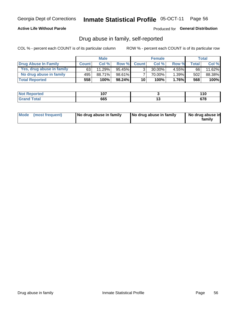## **Active Life Without Parole**

## Produced for General Distribution

## Drug abuse in family, self-reported

COL % - percent each COUNT is of its particular column

|                           |              | <b>Male</b> |           |                 | <b>Female</b> |          |              | Total  |
|---------------------------|--------------|-------------|-----------|-----------------|---------------|----------|--------------|--------|
| Drug Abuse In Family      | <b>Count</b> | Col%        | Row %     | <b>Count</b>    | Col%          | Row %    | <b>Total</b> | Col %  |
| Yes, drug abuse in family | 631          | 11.29%      | $95.45\%$ | ર               | 30.00%        | $4.55\%$ | 66           | 11.62% |
| No drug abuse in family   | 495          | 88.71%      | $98.61\%$ |                 | 70.00%        | $1.39\%$ | 502          | 88.38% |
| <b>Total Reported</b>     | 558          | 100%        | 98.24%    | 10 <sup>1</sup> | 100%          | $1.76\%$ | 568          | 100%   |

| <b>Reported</b><br>NOT | 1 N.Z | 110 |
|------------------------|-------|-----|
| <b>otal</b>            | 665   | c70 |

|  | Mode (most frequent) | No drug abuse in family | No drug abuse in family | No drug abuse in<br>family |
|--|----------------------|-------------------------|-------------------------|----------------------------|
|--|----------------------|-------------------------|-------------------------|----------------------------|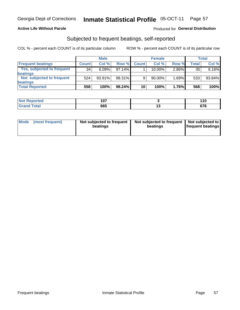## **Active Life Without Parole**

## **Produced for General Distribution**

## Subjected to frequent beatings, self-reported

COL % - percent each COUNT is of its particular column

|                                   |              | <b>Male</b> |           |              | <b>Female</b> |       |         | Total  |
|-----------------------------------|--------------|-------------|-----------|--------------|---------------|-------|---------|--------|
| <b>Frequent beatings</b>          | <b>Count</b> | Col %       | Row %     | <b>Count</b> | Col %         | Row % | Total l | Col %  |
| <b>Yes, subjected to frequent</b> | 34           | 6.09%       | 97.14%    |              | 10.00%        | 2.86% | 35      | 6.16%  |
| beatings                          |              |             |           |              |               |       |         |        |
| Not subjected to frequent         | 524          | 93.91%      | 98.31%    | 9            | 90.00%        | 1.69% | 533     | 93.84% |
| beatings                          |              |             |           |              |               |       |         |        |
| <b>Total Reported</b>             | 558          | 100%        | $98.24\%$ | 10           | 100%          | 1.76% | 568     | 100%   |

| <b>Not Reported</b> | 1 A 7<br>v, |     | 44 C<br>. . u |
|---------------------|-------------|-----|---------------|
| 「otal               | 665         | . . | 678           |

| Mode (most frequent) | Not subjected to frequent<br>beatings | Not subjected to frequent<br>beatings | Not subjected to<br><b>frequent beatings</b> |
|----------------------|---------------------------------------|---------------------------------------|----------------------------------------------|
|                      |                                       |                                       |                                              |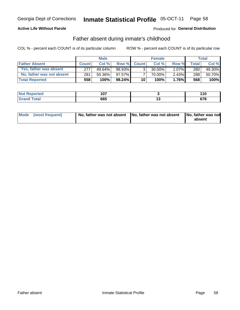## **Active Life Without Parole**

## **Produced for General Distribution**

## Father absent during inmate's childhood

COL % - percent each COUNT is of its particular column

|                           |              | <b>Male</b> |           |                 | <b>Female</b> |          |              | Total   |
|---------------------------|--------------|-------------|-----------|-----------------|---------------|----------|--------------|---------|
| <b>Father Absent</b>      | <b>Count</b> | Col%        | Row %     | <b>Count</b>    | Col %         | Row %    | <b>Total</b> | Col %   |
| Yes, father was absent    | 277          | 49.64%      | 98.93%    | 3 <sub>1</sub>  | $30.00\%$     | $1.07\%$ | 280          | 49.30%  |
| No, father was not absent | 281          | 50.36%      | 97.57%    |                 | 70.00%        | $2.43\%$ | 288          | 50.70%  |
| <b>Total Reported</b>     | 558          | 100%        | $98.24\%$ | 10 <sup>1</sup> | 100%          | $1.76\%$ | 568          | $100\%$ |

| <b>Not Reported</b>    | 1 N 7 | 14 M<br>. . U |
|------------------------|-------|---------------|
| <b>otal</b><br>' Grano | 665   | 678           |

|  | Mode (most frequent) | No, father was not absent No, father was not absent |  | No, father was not<br>absent |
|--|----------------------|-----------------------------------------------------|--|------------------------------|
|--|----------------------|-----------------------------------------------------|--|------------------------------|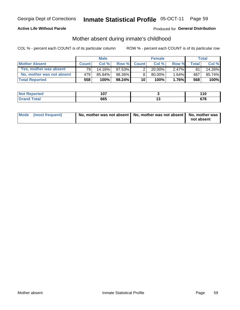## **Active Life Without Parole**

## Produced for General Distribution

## Mother absent during inmate's childhood

COL % - percent each COUNT is of its particular column

|                           |              | <b>Male</b> |           |                 | <b>Female</b> |          |       | Total   |
|---------------------------|--------------|-------------|-----------|-----------------|---------------|----------|-------|---------|
| <b>Mother Absent</b>      | <b>Count</b> | Col%        | Row %     | <b>Count</b>    | Col%          | Row %    | Total | Col %   |
| Yes, mother was absent    | 791          | $14.16\%$   | $97.53\%$ | 2               | $20.00\%$     | $2.47\%$ | 81    | 14.26%  |
| No, mother was not absent | 479          | 85.84%      | 98.36%    | 8               | 80.00%        | 1.64%    | 487   | 85.74%  |
| <b>Total Reported</b>     | 558          | 100%        | $98.24\%$ | 10 <sup>1</sup> | 100%          | $1.76\%$ | 568   | $100\%$ |

| Reported<br><b>NOT</b> | 1 A 7 |     | 10  |
|------------------------|-------|-----|-----|
| <b>otal</b><br>______  | 665   | $-$ | c70 |

| Mode (most frequent) | No, mother was not absent   No, mother was not absent   No, mother was | not absent |
|----------------------|------------------------------------------------------------------------|------------|
|----------------------|------------------------------------------------------------------------|------------|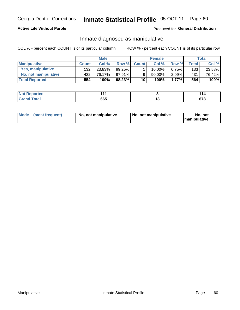## **Active Life Without Parole**

## Produced for General Distribution

## Inmate diagnosed as manipulative

COL % - percent each COUNT is of its particular column

|                       |              | <b>Male</b> |           |              | <b>Female</b> |          |       | Total  |
|-----------------------|--------------|-------------|-----------|--------------|---------------|----------|-------|--------|
| <b>Manipulative</b>   | <b>Count</b> | Col %       | Row %     | <b>Count</b> | Col %         | Row %    | Total | Col %  |
| Yes, manipulative     | 132          | 23.83%      | 99.25%    |              | $10.00\%$ .   | $0.75\%$ | 133   | 23.58% |
| No, not manipulative  | 422          | 76.17%      | $97.91\%$ | 9            | $90.00\%$     | $2.09\%$ | 431   | 76.42% |
| <b>Total Reported</b> | 554          | 100%        | 98.23%    | 10           | 100%          | $1.77\%$ | 564   | 100%   |

| <b>Not Reported</b>               | . . |     |                |
|-----------------------------------|-----|-----|----------------|
| <b>c</b> otal<br>$^{\circ}$ Grano | 665 | . . | $\sim$<br>07 O |

|  | Mode (most frequent) | No, not manipulative | No, not manipulative | No. not<br><b>I</b> manipulative |
|--|----------------------|----------------------|----------------------|----------------------------------|
|--|----------------------|----------------------|----------------------|----------------------------------|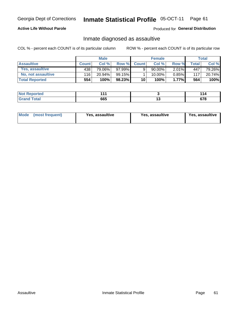#### Inmate Statistical Profile 05-OCT-11 Page 61

## **Active Life Without Parole**

Produced for General Distribution

## Inmate diagnosed as assaultive

COL % - percent each COUNT is of its particular column

|                       |              | <b>Male</b> |           |              | <b>Female</b> |          |       | Total  |
|-----------------------|--------------|-------------|-----------|--------------|---------------|----------|-------|--------|
| <b>Assaultive</b>     | <b>Count</b> | Col%        | Row %I    | <b>Count</b> | Col%          | Row %    | Total | Col %  |
| Yes, assaultive       | 438          | 79.06%      | $97.99\%$ | 9            | 90.00%        | $2.01\%$ | 447   | 79.26% |
| No, not assaultive    | 116          | 20.94%      | 99.15%    |              | $10.00\%$ .   | $0.85\%$ | 117   | 20.74% |
| <b>Total Reported</b> | 554          | 100%        | 98.23%    | 10           | 100%          | $1.77\%$ | 564   | 100%   |

| <b>Reported</b><br><b>NO</b> t | л л |    |              |
|--------------------------------|-----|----|--------------|
| <b>otal</b>                    | 665 | ıJ | 070<br>v 1 u |

| <b>Mode</b><br>(most frequent) | <b>Yes, assaultive</b> | Yes, assaultive | <b>Yes, assaultive</b> |
|--------------------------------|------------------------|-----------------|------------------------|
|--------------------------------|------------------------|-----------------|------------------------|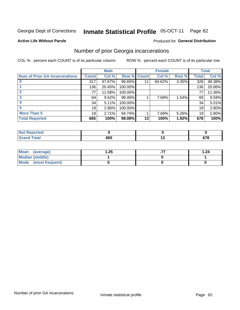#### Inmate Statistical Profile 05-OCT-11 Page 62

### **Active Life Without Parole**

### Produced for General Distribution

## Number of prior Georgia incarcerations

COL % - percent each COUNT is of its particular column

|                                       |              | <b>Male</b> |         |              | <b>Female</b> |       |       | <b>Total</b> |
|---------------------------------------|--------------|-------------|---------|--------------|---------------|-------|-------|--------------|
| <b>Num of Prior GA Incarcerations</b> | <b>Count</b> | Col %       | Row %   | <b>Count</b> | Col %         | Row % | Total | Col %        |
|                                       | 317          | 47.67%      | 96.65%  | 11           | 84.62%        | 3.35% | 328   | 48.38%       |
|                                       | 136          | 20.45%      | 100.00% |              |               |       | 136   | 20.06%       |
|                                       | 77           | 11.58%      | 100.00% |              |               |       | 77    | 11.36%       |
|                                       | 64           | 9.62%       | 98.46%  |              | 7.69%         | 1.54% | 65    | 9.59%        |
|                                       | 34           | 5.11%       | 100.00% |              |               |       | 34    | 5.01%        |
|                                       | 19           | 2.86%       | 100.00% |              |               |       | 19    | 2.80%        |
| <b>More Than 5</b>                    | 18           | 2.71%       | 94.74%  |              | 7.69%         | 5.26% | 19    | 2.80%        |
| <b>Total Reported</b>                 | 665          | 100%        | 98.08%  | 13           | 100%          | 1.92% | 678   | 100%         |

| neo |                   |    |                     |
|-----|-------------------|----|---------------------|
|     | <b>CCF</b><br>००२ | __ | c70<br><u>v , u</u> |

| Mean (average)       | 1.25 | 1.24 |
|----------------------|------|------|
| Median (middle)      |      |      |
| Mode (most frequent) |      |      |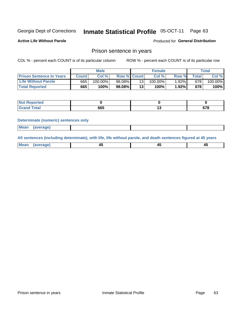#### Inmate Statistical Profile 05-OCT-11 Page 63

**Active Life Without Parole** 

**Produced for General Distribution** 

## Prison sentence in years

COL % - percent each COUNT is of its particular column

ROW % - percent each COUNT is of its particular row

|                                 |         | <b>Male</b> |                    |    | <b>Female</b> |       |       | $\tau$ otal |
|---------------------------------|---------|-------------|--------------------|----|---------------|-------|-------|-------------|
| <b>Prison Sentence In Years</b> | Count l | Col %       | <b>Row % Count</b> |    | Col %         | Row % | Total | Col %       |
| <b>Life Without Parole</b>      | 665     | $100.00\%$  | 98.08%             |    | $100.00\%$    | 1.92% | 678   | 100.00%     |
| <b>Total Reported</b>           | 665     | 100%        | 98.08%             | 13 | 100%          | 1.92% | 678   | 100%        |

| Not Reported |         |        |
|--------------|---------|--------|
| <b>otal</b>  | <br>ხხე | $\sim$ |

### **Determinate (numeric) sentences only**

| <b>Mean</b><br><i>(average)</i> |  |
|---------------------------------|--|
|---------------------------------|--|

All sentences (including determinate), with life, life without parole, and death sentences figured at 45 years

| $M$ ea<br>(average) | $\sim$ | ,,<br>т. |
|---------------------|--------|----------|
|                     |        |          |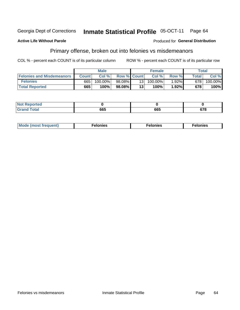### **Active Life Without Parole**

### Produced for General Distribution

## Primary offense, broken out into felonies vs misdemeanors

COL % - percent each COUNT is of its particular column

|                                  |              | <b>Male</b> |                    |     | <b>Female</b> |        |              | Total   |
|----------------------------------|--------------|-------------|--------------------|-----|---------------|--------|--------------|---------|
| <b>Felonies and Misdemeanors</b> | <b>Count</b> | Col%        | <b>Row % Count</b> |     | Col%          | Row %  | <b>Total</b> | Col %   |
| <b>Felonies</b>                  | 665          | 100.00%     | 98.08%             | 131 | 100.00%       | 1.92%∎ | 678          | 100.00% |
| <b>Total Reported</b>            | 665          | 100%        | 98.08%             | 13  | 100%          | 1.92%  | 678          | 100%    |

| <b>Not Reported</b>        |              |     |     |
|----------------------------|--------------|-----|-----|
| <b>Total</b><br>Grand<br>u | $\sim$<br>σσ | 665 | 678 |

| <b>Mode</b><br>frequent)<br>nies<br>≧ (most tr.<br>. | onies<br>. | lonies<br>ею<br>____ |
|------------------------------------------------------|------------|----------------------|
|------------------------------------------------------|------------|----------------------|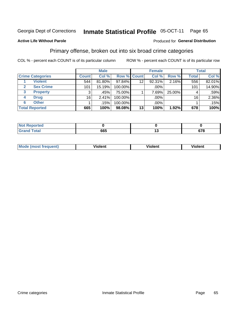#### **Inmate Statistical Profile 05-OCT-11** Page 65

## **Active Life Without Parole**

## Produced for General Distribution

## Primary offense, broken out into six broad crime categories

COL % - percent each COUNT is of its particular column

|                         |              | <b>Male</b> |         |                    | <b>Female</b> |        |              | <b>Total</b> |
|-------------------------|--------------|-------------|---------|--------------------|---------------|--------|--------------|--------------|
| <b>Crime Categories</b> | <b>Count</b> | Col %       |         | <b>Row % Count</b> | Col %         | Row %  | <b>Total</b> | Col %        |
| <b>Violent</b>          | 544          | 81.80%      | 97.84%  | 12                 | 92.31%        | 2.16%  | 556          | 82.01%       |
| <b>Sex Crime</b><br>2   | 101          | 15.19%      | 100.00% |                    | .00%          |        | 101          | 14.90%       |
| <b>Property</b><br>3    | 3            | .45%        | 75.00%  |                    | 7.69%         | 25.00% | 4            | .59%         |
| <b>Drug</b><br>4        | 16           | 2.41%       | 100.00% |                    | .00%          |        | 16           | 2.36%        |
| <b>Other</b><br>6       |              | .15%        | 100.00% |                    | .00%          |        |              | .15%         |
| <b>Total Reported</b>   | 665          | 100%        | 98.08%  | 13                 | 100%          | 1.92%  | 678          | 100%         |

| <b>Not Reported</b> |     |     |
|---------------------|-----|-----|
| <b>Total</b>        | 665 | 678 |

| M | . | 40 O |
|---|---|------|
|   |   |      |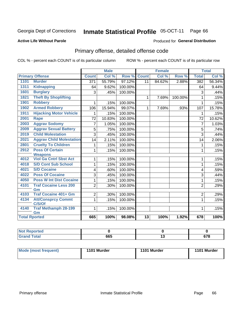#### **Inmate Statistical Profile 05-OCT-11** Page 66

## **Active Life Without Parole**

### **Produced for General Distribution**

# Primary offense, detailed offense code

COL % - percent each COUNT is of its particular column

|                      |                                     |                | <b>Male</b> |         | <b>Female</b>   |        |         | <b>Total</b>   |        |
|----------------------|-------------------------------------|----------------|-------------|---------|-----------------|--------|---------|----------------|--------|
|                      | <b>Primary Offense</b>              | <b>Count</b>   | Col %       | Row %   | <b>Count</b>    | Col %  | Row %   | <b>Total</b>   | Col %  |
| 1101                 | <b>Murder</b>                       | 371            | 55.79%      | 97.12%  | 11              | 84.62% | 2.88%   | 382            | 56.34% |
| 1311                 | <b>Kidnapping</b>                   | 64             | 9.62%       | 100.00% |                 |        |         | 64             | 9.44%  |
| 1601                 | <b>Burglary</b>                     | 3              | .45%        | 100.00% |                 |        |         | 3              | .44%   |
| 1821                 | <b>Theft By Shoplifting</b>         |                |             |         | $\mathbf 1$     | 7.69%  | 100.00% | 1              | .15%   |
| 1901                 | <b>Robbery</b>                      |                | .15%        | 100.00% |                 |        |         | 1              | .15%   |
| 1902                 | <b>Armed Robbery</b>                | 106            | 15.94%      | 99.07%  | $\mathbf{1}$    | 7.69%  | .93%    | 107            | 15.78% |
| 1911                 | <b>Hijacking Motor Vehicle</b>      |                | .15%        | 100.00% |                 |        |         | 1              | .15%   |
| 2001                 | <b>Rape</b>                         | 72             | 10.83%      | 100.00% |                 |        |         | 72             | 10.62% |
| 2003                 | <b>Aggrav Sodomy</b>                | 7              | 1.05%       | 100.00% |                 |        |         | $\overline{7}$ | 1.03%  |
| 2009                 | <b>Aggrav Sexual Battery</b>        | 5              | .75%        | 100.00% |                 |        |         | 5              | .74%   |
| 2019                 | <b>Child Molestation</b>            | 3              | .45%        | 100.00% |                 |        |         | 3              | .44%   |
| 2021                 | <b>Aggrav Child Molestation</b>     | 14             | 2.11%       | 100.00% |                 |        |         | 14             | 2.06%  |
| 2801                 | <b>Cruelty To Children</b>          | 1              | .15%        | 100.00% |                 |        |         | 1              | .15%   |
| 2912                 | <b>Poss Of Certain</b>              | 1              | .15%        | 100.00% |                 |        |         | 1              | .15%   |
|                      | <b>Weapons</b>                      |                |             |         |                 |        |         |                |        |
| 4012                 | <b>Viol Ga Cntrl Sbst Act</b>       | 1              | .15%        | 100.00% |                 |        |         | 1              | .15%   |
| 4018                 | <b>S/D Cont Sub School</b>          | 1              | .15%        | 100.00% |                 |        |         | $\mathbf{1}$   | .15%   |
| 4021                 | <b>S/D Cocaine</b>                  | 4              | .60%        | 100.00% |                 |        |         | 4              | .59%   |
| 4022                 | <b>Poss Of Cocaine</b>              | 3              | .45%        | 100.00% |                 |        |         | 3              | .44%   |
| 4050                 | <b>Poss W Int Dist Cocaine</b>      | 1              | .15%        | 100.00% |                 |        |         | $\mathbf{1}$   | .15%   |
| 4101                 | <b>Traf Cocaine Less 200</b>        | $\overline{2}$ | .30%        | 100.00% |                 |        |         | $\overline{2}$ | .29%   |
|                      | Gm                                  |                |             |         |                 |        |         |                |        |
| 4103                 | <b>Traf Cocaine 401+ Gm</b>         | 2              | .30%        | 100.00% |                 |        |         | 2              | .29%   |
| 4134                 | <b>Att/Consprcy Commt</b><br>C/S/Of | 1              | .15%        | 100.00% |                 |        |         | 1              | .15%   |
| 4140                 | <b>Traf Methamph 28-199</b>         | 1              | .15%        | 100.00% |                 |        |         | $\mathbf 1$    | .15%   |
|                      | Gm                                  |                |             |         |                 |        |         |                |        |
| <b>Total Rported</b> |                                     | 665            | 100%        | 98.08%  | $\overline{13}$ | 100%   | 1.92%   | 678            | 100%   |

| <b>tea</b><br>.  |                   |    |                      |
|------------------|-------------------|----|----------------------|
| المعاصر<br>_____ | <b>CCE</b><br>coo | ., | 070<br>u ı u<br>$ -$ |

| Mode (most frequent) | 1101 Murder | 1101 Murder | 1101 Murder |
|----------------------|-------------|-------------|-------------|
|----------------------|-------------|-------------|-------------|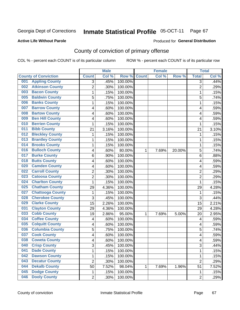## **Active Life Without Parole**

### Produced for **General Distribution**

# County of conviction of primary offense

|                                |                | <b>Male</b> |                  |              | <b>Female</b> |        |                | <b>Total</b> |
|--------------------------------|----------------|-------------|------------------|--------------|---------------|--------|----------------|--------------|
| <b>County of Conviction</b>    | <b>Count</b>   | Col %       | Row <sup>%</sup> | <b>Count</b> | Col %         | Row %  | <b>Total</b>   | Col %        |
| <b>Appling County</b><br>001   | 3              | .45%        | 100.00%          |              |               |        | 3              | .44%         |
| <b>Atkinson County</b><br>002  | $\overline{2}$ | .30%        | 100.00%          |              |               |        | $\overline{2}$ | .29%         |
| <b>Bacon County</b><br>003     | 1              | .15%        | 100.00%          |              |               |        | 1              | .15%         |
| <b>Baldwin County</b><br>005   | 5              | .75%        | 100.00%          |              |               |        | 5              | .74%         |
| <b>Banks County</b><br>006     | 1              | .15%        | 100.00%          |              |               |        | $\mathbf{1}$   | .15%         |
| <b>Barrow County</b><br>007    | 4              | .60%        | 100.00%          |              |               |        | 4              | .59%         |
| <b>Bartow County</b><br>008    | 4              | .60%        | 100.00%          |              |               |        | 4              | .59%         |
| <b>Ben Hill County</b><br>009  | 4              | .60%        | 100.00%          |              |               |        | 4              | .59%         |
| <b>Berrien County</b><br>010   | 1              | .15%        | 100.00%          |              |               |        | 1              | .15%         |
| <b>Bibb County</b><br>011      | 21             | 3.16%       | 100.00%          |              |               |        | 21             | 3.10%        |
| <b>Bleckley County</b><br>012  | 1              | .15%        | 100.00%          |              |               |        | 1              | .15%         |
| <b>Brantley County</b><br>013  | 1              | .15%        | 100.00%          |              |               |        | 1              | .15%         |
| <b>Brooks County</b><br>014    | 1              | .15%        | 100.00%          |              |               |        | 1              | .15%         |
| <b>Bulloch County</b><br>016   | 4              | .60%        | 80.00%           | 1            | 7.69%         | 20.00% | 5              | .74%         |
| <b>Burke County</b><br>017     | 6              | .90%        | 100.00%          |              |               |        | 6              | .88%         |
| <b>Butts County</b><br>018     | 4              | .60%        | 100.00%          |              |               |        | 4              | .59%         |
| <b>Camden County</b><br>020    | 4              | .60%        | 100.00%          |              |               |        | 4              | .59%         |
| <b>Carroll County</b><br>022   | 2              | .30%        | 100.00%          |              |               |        | $\overline{2}$ | .29%         |
| <b>Catoosa County</b><br>023   | $\overline{2}$ | .30%        | 100.00%          |              |               |        | $\overline{2}$ | .29%         |
| <b>Charlton County</b><br>024  | 1              | .15%        | 100.00%          |              |               |        | 1              | .15%         |
| <b>Chatham County</b><br>025   | 29             | 4.36%       | 100.00%          |              |               |        | 29             | 4.28%        |
| <b>Chattooga County</b><br>027 | 1              | .15%        | 100.00%          |              |               |        | 1              | .15%         |
| <b>Cherokee County</b><br>028  | 3              | .45%        | 100.00%          |              |               |        | 3              | .44%         |
| <b>Clarke County</b><br>029    | 15             | 2.26%       | 100.00%          |              |               |        | 15             | 2.21%        |
| <b>Clayton County</b><br>031   | 29             | 4.36%       | 100.00%          |              |               |        | 29             | 4.28%        |
| <b>Cobb County</b><br>033      | 19             | 2.86%       | 95.00%           | 1            | 7.69%         | 5.00%  | 20             | 2.95%        |
| <b>Coffee County</b><br>034    | 4              | .60%        | 100.00%          |              |               |        | 4              | .59%         |
| <b>Colquitt County</b><br>035  | 4              | .60%        | 100.00%          |              |               |        | 4              | .59%         |
| <b>Columbia County</b><br>036  | 5              | .75%        | 100.00%          |              |               |        | 5              | .74%         |
| <b>Cook County</b><br>037      | 4              | .60%        | 100.00%          |              |               |        | 4              | .59%         |
| <b>Coweta County</b><br>038    | 4              | .60%        | 100.00%          |              |               |        | 4              | .59%         |
| 040<br><b>Crisp County</b>     | 3              | .45%        | 100.00%          |              |               |        | 3              | .44%         |
| <b>Dade County</b><br>041      | 1              | .15%        | 100.00%          |              |               |        | $\mathbf{1}$   | .15%         |
| 042<br><b>Dawson County</b>    | 1              | .15%        | 100.00%          |              |               |        | 1              | .15%         |
| <b>Decatur County</b><br>043   | $\overline{2}$ | .30%        | 100.00%          |              |               |        | $\overline{2}$ | .29%         |
| <b>Dekalb County</b><br>044    | 50             | 7.52%       | 98.04%           | 1            | 7.69%         | 1.96%  | 51             | 7.52%        |
| <b>Dodge County</b><br>045     | 1              | .15%        | 100.00%          |              |               |        | 1              | .15%         |
| <b>Dooly County</b><br>046     | $\overline{2}$ | .30%        | 100.00%          |              |               |        | $\overline{2}$ | .29%         |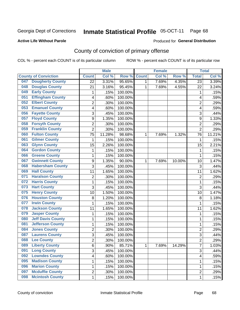## **Active Life Without Parole**

### Produced for **General Distribution**

# County of conviction of primary offense

|     |                             |                 | <b>Male</b> |         |              | <b>Female</b> |        |                | <b>Total</b> |
|-----|-----------------------------|-----------------|-------------|---------|--------------|---------------|--------|----------------|--------------|
|     | <b>County of Conviction</b> | <b>Count</b>    | Col %       | Row %   | <b>Count</b> | Col %         | Row %  | <b>Total</b>   | Col %        |
| 047 | <b>Dougherty County</b>     | $\overline{22}$ | 3.31%       | 95.65%  | 1            | 7.69%         | 4.35%  | 23             | 3.39%        |
| 048 | <b>Douglas County</b>       | 21              | 3.16%       | 95.45%  | 1            | 7.69%         | 4.55%  | 22             | 3.24%        |
| 049 | <b>Early County</b>         | 1               | .15%        | 100.00% |              |               |        | 1              | .15%         |
| 051 | <b>Effingham County</b>     | 4               | .60%        | 100.00% |              |               |        | 4              | .59%         |
| 052 | <b>Elbert County</b>        | $\overline{2}$  | .30%        | 100.00% |              |               |        | $\overline{2}$ | .29%         |
| 053 | <b>Emanuel County</b>       | 4               | .60%        | 100.00% |              |               |        | 4              | .59%         |
| 056 | <b>Fayette County</b>       | 3               | .45%        | 100.00% |              |               |        | 3              | .44%         |
| 057 | <b>Floyd County</b>         | 9               | 1.35%       | 100.00% |              |               |        | 9              | 1.33%        |
| 058 | <b>Forsyth County</b>       | 2               | .30%        | 100.00% |              |               |        | $\overline{2}$ | .29%         |
| 059 | <b>Franklin County</b>      | $\overline{2}$  | .30%        | 100.00% |              |               |        | $\overline{2}$ | .29%         |
| 060 | <b>Fulton County</b>        | 75              | 11.28%      | 98.68%  | 1            | 7.69%         | 1.32%  | 76             | 11.21%       |
| 061 | <b>Gilmer County</b>        | 1               | .15%        | 100.00% |              |               |        | 1              | .15%         |
| 063 | <b>Glynn County</b>         | 15              | 2.26%       | 100.00% |              |               |        | 15             | 2.21%        |
| 064 | <b>Gordon County</b>        | $\mathbf{1}$    | .15%        | 100.00% |              |               |        | $\mathbf{1}$   | .15%         |
| 066 | <b>Greene County</b>        | $\mathbf{1}$    | .15%        | 100.00% |              |               |        | 1              | .15%         |
| 067 | <b>Gwinnett County</b>      | 9               | 1.35%       | 90.00%  | 1            | 7.69%         | 10.00% | 10             | 1.47%        |
| 068 | <b>Habersham County</b>     | 3               | .45%        | 100.00% |              |               |        | 3              | .44%         |
| 069 | <b>Hall County</b>          | 11              | 1.65%       | 100.00% |              |               |        | 11             | 1.62%        |
| 071 | <b>Haralson County</b>      | $\overline{c}$  | .30%        | 100.00% |              |               |        | $\overline{2}$ | .29%         |
| 072 | <b>Harris County</b>        | $\mathbf{1}$    | .15%        | 100.00% |              |               |        | 1              | .15%         |
| 073 | <b>Hart County</b>          | 3               | .45%        | 100.00% |              |               |        | 3              | .44%         |
| 075 | <b>Henry County</b>         | 10              | 1.50%       | 100.00% |              |               |        | 10             | 1.47%        |
| 076 | <b>Houston County</b>       | 8               | 1.20%       | 100.00% |              |               |        | 8              | 1.18%        |
| 077 | <b>Irwin County</b>         | 1               | .15%        | 100.00% |              |               |        | $\mathbf{1}$   | .15%         |
| 078 | <b>Jackson County</b>       | 11              | 1.65%       | 100.00% |              |               |        | 11             | 1.62%        |
| 079 | <b>Jasper County</b>        | 1               | .15%        | 100.00% |              |               |        | $\mathbf{1}$   | .15%         |
| 080 | <b>Jeff Davis County</b>    | 1               | .15%        | 100.00% |              |               |        | 1              | .15%         |
| 081 | <b>Jefferson County</b>     | 1               | .15%        | 100.00% |              |               |        | 1              | .15%         |
| 084 | <b>Jones County</b>         | 2               | .30%        | 100.00% |              |               |        | $\overline{2}$ | .29%         |
| 087 | <b>Laurens County</b>       | 3               | .45%        | 100.00% |              |               |        | 3              | .44%         |
| 088 | <b>Lee County</b>           | $\overline{2}$  | .30%        | 100.00% |              |               |        | $\overline{2}$ | .29%         |
| 089 | <b>Liberty County</b>       | 6               | .90%        | 85.71%  | 1            | 7.69%         | 14.29% | 7              | 1.03%        |
| 091 | <b>Long County</b>          | 3               | .45%        | 100.00% |              |               |        | 3              | .44%         |
| 092 | <b>Lowndes County</b>       | 4               | .60%        | 100.00% |              |               |        | 4              | .59%         |
| 095 | <b>Madison County</b>       | 1               | .15%        | 100.00% |              |               |        | 1              | .15%         |
| 096 | <b>Marion County</b>        | 1               | .15%        | 100.00% |              |               |        | 1              | .15%         |
| 097 | <b>Mcduffie County</b>      | 2               | .30%        | 100.00% |              |               |        | $\overline{2}$ | .29%         |
| 098 | <b>Mcintosh County</b>      | 1               | .15%        | 100.00% |              |               |        | $\mathbf 1$    | .15%         |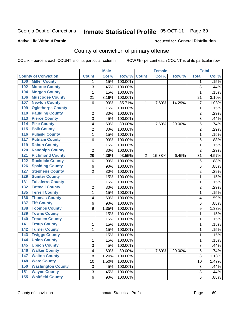## **Active Life Without Parole**

### Produced for **General Distribution**

# County of conviction of primary offense

|                                            |                         | <b>Male</b> |         |                | <b>Female</b> |        |                | <b>Total</b> |
|--------------------------------------------|-------------------------|-------------|---------|----------------|---------------|--------|----------------|--------------|
| <b>County of Conviction</b>                | <b>Count</b>            | Col %       | Row %   | <b>Count</b>   | Col %         | Row %  | <b>Total</b>   | Col %        |
| <b>Miller County</b><br>100                | 1                       | .15%        | 100.00% |                |               |        | 1              | .15%         |
| <b>Monroe County</b><br>102                | 3                       | .45%        | 100.00% |                |               |        | 3              | .44%         |
| <b>Morgan County</b><br>104                | 1                       | .15%        | 100.00% |                |               |        | $\mathbf{1}$   | .15%         |
| <b>Muscogee County</b><br>106              | 21                      | 3.16%       | 100.00% |                |               |        | 21             | 3.10%        |
| <b>Newton County</b><br>107                | $\,6$                   | .90%        | 85.71%  | 1              | 7.69%         | 14.29% | $\overline{7}$ | 1.03%        |
| <b>Oglethorpe County</b><br>109            | 1                       | .15%        | 100.00% |                |               |        | $\mathbf 1$    | .15%         |
| <b>Paulding County</b><br>110              | $\overline{2}$          | .30%        | 100.00% |                |               |        | $\overline{2}$ | .29%         |
| <b>Pierce County</b><br>113                | $\overline{3}$          | .45%        | 100.00% |                |               |        | 3              | .44%         |
| <b>Pike County</b><br>114                  | 4                       | .60%        | 80.00%  | 1              | 7.69%         | 20.00% | 5              | .74%         |
| <b>Polk County</b><br>$\overline{115}$     | $\overline{c}$          | .30%        | 100.00% |                |               |        | $\overline{2}$ | .29%         |
| <b>Pulaski County</b><br>116               | 1                       | .15%        | 100.00% |                |               |        | 1              | .15%         |
| <b>Putnam County</b><br>117                | 6                       | .90%        | 100.00% |                |               |        | 6              | .88%         |
| <b>Rabun County</b><br>119                 | 1                       | .15%        | 100.00% |                |               |        | 1              | .15%         |
| <b>Randolph County</b><br>120              | $\overline{2}$          | .30%        | 100.00% |                |               |        | $\overline{2}$ | .29%         |
| <b>Richmond County</b><br>$\overline{121}$ | 29                      | 4.36%       | 93.55%  | $\overline{2}$ | 15.38%        | 6.45%  | 31             | 4.57%        |
| <b>Rockdale County</b><br>122              | $\,6$                   | .90%        | 100.00% |                |               |        | 6              | .88%         |
| <b>Spalding County</b><br>126              | 6                       | .90%        | 100.00% |                |               |        | 6              | .88%         |
| <b>Stephens County</b><br>127              | $\overline{c}$          | .30%        | 100.00% |                |               |        | $\overline{2}$ | .29%         |
| <b>Sumter County</b><br>129                | 1                       | .15%        | 100.00% |                |               |        | 1              | .15%         |
| <b>Taliaferro County</b><br>131            | 1                       | .15%        | 100.00% |                |               |        | 1              | .15%         |
| <b>Tattnall County</b><br>132              | 2                       | .30%        | 100.00% |                |               |        | $\overline{2}$ | .29%         |
| <b>Terrell County</b><br>135               | 1                       | .15%        | 100.00% |                |               |        | $\mathbf 1$    | .15%         |
| <b>Thomas County</b><br>136                | 4                       | .60%        | 100.00% |                |               |        | 4              | .59%         |
| <b>Tift County</b><br>137                  | 6                       | .90%        | 100.00% |                |               |        | 6              | .88%         |
| <b>Toombs County</b><br>138                | 9                       | 1.35%       | 100.00% |                |               |        | 9              | 1.33%        |
| <b>Towns County</b><br>139                 | 1                       | .15%        | 100.00% |                |               |        | 1              | .15%         |
| <b>Treutlen County</b><br>140              | 1                       | .15%        | 100.00% |                |               |        | 1              | .15%         |
| <b>Troup County</b><br>141                 | 1                       | .15%        | 100.00% |                |               |        | 1              | .15%         |
| <b>Turner County</b><br>142                | 1                       | .15%        | 100.00% |                |               |        | 1              | .15%         |
| <b>Twiggs County</b><br>$\overline{143}$   | 1                       | .15%        | 100.00% |                |               |        | 1              | .15%         |
| <b>Union County</b><br>144                 | 1                       | .15%        | 100.00% |                |               |        | 1              | .15%         |
| 145<br><b>Upson County</b>                 | 3                       | .45%        | 100.00% |                |               |        | 3              | .44%         |
| <b>Walker County</b><br>146                | $\overline{\mathbf{4}}$ | .60%        | 80.00%  | 1              | 7.69%         | 20.00% | 5              | .74%         |
| <b>Walton County</b><br>147                | $\bf 8$                 | 1.20%       | 100.00% |                |               |        | 8              | 1.18%        |
| <b>Ware County</b><br>148                  | 10                      | 1.50%       | 100.00% |                |               |        | 10             | 1.47%        |
| <b>Washington County</b><br>150            | 3                       | .45%        | 100.00% |                |               |        | 3              | .44%         |
| <b>Wayne County</b><br>151                 | $\overline{3}$          | .45%        | 100.00% |                |               |        | 3              | .44%         |
| <b>Whitfield County</b><br>155             | 6                       | .90%        | 100.00% |                |               |        | 6              | .88%         |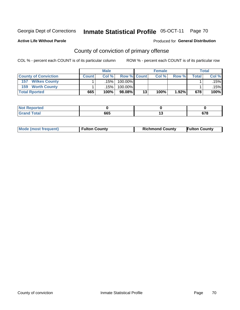## **Active Life Without Parole**

### Produced for **General Distribution**

# County of conviction of primary offense

|                             | <b>Male</b>  |      |                    | <b>Female</b> |       |          | <b>Total</b> |       |
|-----------------------------|--------------|------|--------------------|---------------|-------|----------|--------------|-------|
| <b>County of Conviction</b> | <b>Count</b> | Col% | <b>Row % Count</b> |               | Col % | Row %    | Total        | Col % |
| <b>Wilkes County</b><br>157 |              | .15% | 100.00%            |               |       |          |              | .15%  |
| 159<br><b>Worth County</b>  |              | .15% | 100.00%            |               |       |          |              | .15%  |
| <b>Total Rported</b>        | 665          | 100% | 98.08%             | 13            | 100%  | $1.92\%$ | 678          | 100%  |

| τeα                               |     |         |
|-----------------------------------|-----|---------|
| --<br>$\sim$ $\sim$ $\sim$ $\sim$ | 665 | $- - -$ |

| <b>Mode (most frequent)</b> | <b>Fulton County</b> | <b>Richmond County</b> | <b>Fulton County</b> |
|-----------------------------|----------------------|------------------------|----------------------|
|                             |                      |                        |                      |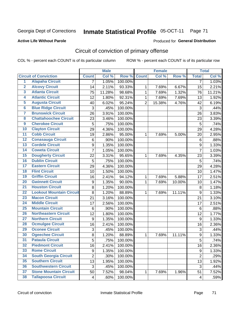## **Active Life Without Parole**

### Produced for **General Distribution**

# Circuit of conviction of primary offense

|                         |                                 |                | <b>Male</b> |         |                | <b>Female</b> |        |                          | <b>Total</b> |
|-------------------------|---------------------------------|----------------|-------------|---------|----------------|---------------|--------|--------------------------|--------------|
|                         | <b>Circuit of Conviction</b>    | <b>Count</b>   | Col %       | Row %   | <b>Count</b>   | Col %         | Row %  | <b>Total</b>             | Col %        |
| 1                       | <b>Alapaha Circuit</b>          | 7              | 1.05%       | 100.00% |                |               |        | 7                        | 1.03%        |
| $\overline{2}$          | <b>Alcovy Circuit</b>           | 14             | 2.11%       | 93.33%  | 1              | 7.69%         | 6.67%  | 15                       | 2.21%        |
| $\overline{\mathbf{3}}$ | <b>Atlanta Circuit</b>          | 75             | 11.28%      | 98.68%  | $\mathbf{1}$   | 7.69%         | 1.32%  | 76                       | 11.21%       |
| 4                       | <b>Atlantic Circuit</b>         | 12             | 1.80%       | 92.31%  | 1              | 7.69%         | 7.69%  | 13                       | 1.92%        |
| 5                       | <b>Augusta Circuit</b>          | 40             | 6.02%       | 95.24%  | $\overline{2}$ | 15.38%        | 4.76%  | 42                       | 6.19%        |
| $\overline{6}$          | <b>Blue Ridge Circuit</b>       | 3              | .45%        | 100.00% |                |               |        | $\mathfrak{S}$           | .44%         |
| 7                       | <b>Brunswick Circuit</b>        | 26             | 3.91%       | 100.00% |                |               |        | 26                       | 3.83%        |
| 8                       | <b>Chattahoochee Circuit</b>    | 23             | 3.46%       | 100.00% |                |               |        | 23                       | 3.39%        |
| $\overline{9}$          | <b>Cherokee Circuit</b>         | 5              | .75%        | 100.00% |                |               |        | 5                        | .74%         |
| 10                      | <b>Clayton Circuit</b>          | 29             | 4.36%       | 100.00% |                |               |        | 29                       | 4.28%        |
| $\overline{11}$         | <b>Cobb Circuit</b>             | 19             | 2.86%       | 95.00%  | 1              | 7.69%         | 5.00%  | 20                       | 2.95%        |
| 12                      | <b>Conasauga Circuit</b>        | 6              | .90%        | 100.00% |                |               |        | $\,6$                    | .88%         |
| 13                      | <b>Cordele Circuit</b>          | 9              | 1.35%       | 100.00% |                |               |        | $\boldsymbol{9}$         | 1.33%        |
| $\overline{14}$         | <b>Coweta Circuit</b>           | $\overline{7}$ | 1.05%       | 100.00% |                |               |        | $\overline{7}$           | 1.03%        |
| $\overline{15}$         | <b>Dougherty Circuit</b>        | 22             | 3.31%       | 95.65%  | 1              | 7.69%         | 4.35%  | 23                       | 3.39%        |
| 16                      | <b>Dublin Circuit</b>           | 5              | .75%        | 100.00% |                |               |        | 5                        | .74%         |
| 17                      | <b>Eastern Circuit</b>          | 29             | 4.36%       | 100.00% |                |               |        | 29                       | 4.28%        |
| 18                      | <b>Flint Circuit</b>            | 10             | 1.50%       | 100.00% |                |               |        | 10                       | 1.47%        |
| 19                      | <b>Griffin Circuit</b>          | 16             | 2.41%       | 94.12%  | 1              | 7.69%         | 5.88%  | 17                       | 2.51%        |
| 20                      | <b>Gwinnett Circuit</b>         | 9              | 1.35%       | 90.00%  | $\mathbf{1}$   | 7.69%         | 10.00% | 10                       | 1.47%        |
| $\overline{21}$         | <b>Houston Circuit</b>          | 8              | 1.20%       | 100.00% |                |               |        | 8                        | 1.18%        |
| $\overline{22}$         | <b>Lookout Mountain Circuit</b> | $\bf 8$        | 1.20%       | 88.89%  | $\mathbf 1$    | 7.69%         | 11.11% | 9                        | 1.33%        |
| 23                      | <b>Macon Circuit</b>            | 21             | 3.16%       | 100.00% |                |               |        | 21                       | 3.10%        |
| $\overline{24}$         | <b>Middle Circuit</b>           | 17             | 2.56%       | 100.00% |                |               |        | 17                       | 2.51%        |
| 25                      | <b>Mountain Circuit</b>         | $\,6$          | .90%        | 100.00% |                |               |        | $6\phantom{1}6$          | .88%         |
| 26                      | <b>Northeastern Circuit</b>     | 12             | 1.80%       | 100.00% |                |               |        | 12                       | 1.77%        |
| $\overline{27}$         | <b>Northern Circuit</b>         | 9              | 1.35%       | 100.00% |                |               |        | 9                        | 1.33%        |
| 28                      | <b>Ocmulgee Circuit</b>         | 16             | 2.41%       | 100.00% |                |               |        | 16                       | 2.36%        |
| 29                      | <b>Oconee Circuit</b>           | 3              | .45%        | 100.00% |                |               |        | 3                        | .44%         |
| 30                      | <b>Ogeechee Circuit</b>         | 8              | 1.20%       | 88.89%  | 1              | 7.69%         | 11.11% | $\boldsymbol{9}$         | 1.33%        |
| $\overline{31}$         | <b>Pataula Circuit</b>          | $\overline{5}$ | .75%        | 100.00% |                |               |        | 5                        | .74%         |
| 32                      | <b>Piedmont Circuit</b>         | 16             | 2.41%       | 100.00% |                |               |        | 16                       | 2.36%        |
| 33                      | <b>Rome Circuit</b>             | 9              | 1.35%       | 100.00% |                |               |        | 9                        | 1.33%        |
| 34                      | <b>South Georgia Circuit</b>    | $\overline{2}$ | .30%        | 100.00% |                |               |        | $\overline{2}$           | .29%         |
| 35                      | <b>Southern Circuit</b>         | 13             | 1.95%       | 100.00% |                |               |        | 13                       | 1.92%        |
| 36                      | <b>Southwestern Circuit</b>     | 3              | .45%        | 100.00% |                |               |        | 3                        | .44%         |
| 37                      | <b>Stone Mountain Circuit</b>   | 50             | 7.52%       | 98.04%  | 1              | 7.69%         | 1.96%  | 51                       | 7.52%        |
| 38                      | <b>Tallapoosa Circuit</b>       | 4              | .60%        | 100.00% |                |               |        | $\overline{\mathcal{A}}$ | .59%         |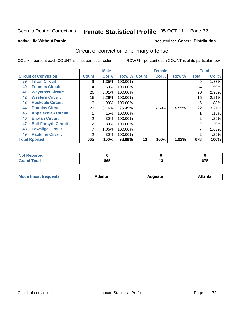### **Active Life Without Parole**

### Produced for **General Distribution**

# Circuit of conviction of primary offense

|    |                              |              | <b>Male</b><br><b>Female</b> |         |              |       | <b>Total</b> |                |       |
|----|------------------------------|--------------|------------------------------|---------|--------------|-------|--------------|----------------|-------|
|    | <b>Circuit of Conviction</b> | <b>Count</b> | Col %                        | Row %   | <b>Count</b> | Col % | Row %        | <b>Total</b>   | Col % |
| 39 | <b>Tifton Circuit</b>        | 9            | 1.35%                        | 100.00% |              |       |              | 9              | 1.33% |
| 40 | <b>Toombs Circuit</b>        | 4            | .60%                         | 100.00% |              |       |              | 4              | .59%  |
| 41 | <b>Waycross Circuit</b>      | 20           | 3.01%                        | 100.00% |              |       |              | 20             | 2.95% |
| 42 | <b>Western Circuit</b>       | 15           | 2.26%                        | 100.00% |              |       |              | 15             | 2.21% |
| 43 | <b>Rockdale Circuit</b>      | 6            | .90%                         | 100.00% |              |       |              | 6              | .88%  |
| 44 | <b>Douglas Circuit</b>       | 21           | 3.16%                        | 95.45%  |              | 7.69% | 4.55%        | 22             | 3.24% |
| 45 | <b>Appalachian Circuit</b>   |              | .15%                         | 100.00% |              |       |              |                | .15%  |
| 46 | <b>Enotah Circuit</b>        | 2            | $.30\%$                      | 100.00% |              |       |              | 2              | .29%  |
| 47 | <b>Bell-Forsyth Circuit</b>  | 2            | $.30\%$                      | 100.00% |              |       |              | $\overline{2}$ | .29%  |
| 48 | <b>Towaliga Circuit</b>      | 7            | 1.05%                        | 100.00% |              |       |              |                | 1.03% |
| 49 | <b>Paulding Circuit</b>      | ົ            | $.30\%$                      | 100.00% |              |       |              | 2              | .29%  |
|    | <b>Total Rported</b>         | 665          | 100%                         | 98.08%  | 13           | 100%  | 1.92%        | 678<br>100%    |       |

| <b>rted</b> |     |     |        |
|-------------|-----|-----|--------|
| $f$ oto $f$ | 665 | . . | $\sim$ |

| М<br>. In n tr<br>.<br>.<br>wanta<br>Πū<br>31.<br>$\sim$ $\sim$ $\sim$ |
|------------------------------------------------------------------------|
|------------------------------------------------------------------------|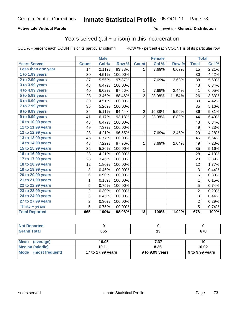#### **Active Life Without Parole**

#### Produced for **General Distribution**

### Years served (jail + prison) in this incarceration

|                       |                | <b>Male</b> |         | <b>Female</b>   |        |        | <b>Total</b>    |       |
|-----------------------|----------------|-------------|---------|-----------------|--------|--------|-----------------|-------|
| <b>Years Served</b>   | <b>Count</b>   | Col %       | Row %   | <b>Count</b>    | Col %  | Row %  | <b>Total</b>    | Col % |
| Less than one year    | 14             | 2.11%       | 93.33%  | 1.              | 7.69%  | 6.67%  | $\overline{15}$ | 2.21% |
| 1 to 1.99 years       | 30             | 4.51%       | 100.00% |                 |        |        | 30              | 4.42% |
| $2$ to 2.99 years     | 37             | 5.56%       | 97.37%  | 1               | 7.69%  | 2.63%  | 38              | 5.60% |
| 3 to 3.99 years       | 43             | 6.47%       | 100.00% |                 |        |        | 43              | 6.34% |
| 4 to 4.99 years       | 40             | 6.02%       | 97.56%  | 1               | 7.69%  | 2.44%  | 41              | 6.05% |
| 5 to 5.99 years       | 23             | 3.46%       | 88.46%  | 3               | 23.08% | 11.54% | 26              | 3.83% |
| 6 to 6.99 years       | 30             | 4.51%       | 100.00% |                 |        |        | 30              | 4.42% |
| 7 to 7.99 years       | 35             | 5.26%       | 100.00% |                 |        |        | 35              | 5.16% |
| 8 to 8.99 years       | 34             | 5.11%       | 94.44%  | $\overline{2}$  | 15.38% | 5.56%  | 36              | 5.31% |
| 9 to 9.99 years       | 41             | 6.17%       | 93.18%  | 3               | 23.08% | 6.82%  | 44              | 6.49% |
| 10 to 10.99 years     | 43             | 6.47%       | 100.00% |                 |        |        | 43              | 6.34% |
| 11 to 11.99 years     | 49             | 7.37%       | 100.00% |                 |        |        | 49              | 7.23% |
| 12 to 12.99 years     | 28             | 4.21%       | 96.55%  | 1               | 7.69%  | 3.45%  | 29              | 4.28% |
| 13 to 13.99 years     | 45             | 6.77%       | 100.00% |                 |        |        | 45              | 6.64% |
| 14 to 14.99 years     | 48             | 7.22%       | 97.96%  | 1               | 7.69%  | 2.04%  | 49              | 7.23% |
| 15 to 15.99 years     | 35             | 5.26%       | 100.00% |                 |        |        | 35              | 5.16% |
| 16 to 16.99 years     | 28             | 4.21%       | 100.00% |                 |        |        | 28              | 4.13% |
| 17 to 17.99 years     | 23             | 3.46%       | 100.00% |                 |        |        | 23              | 3.39% |
| 18 to 18.99 years     | 12             | 1.80%       | 100.00% |                 |        |        | 12              | 1.77% |
| 19 to 19.99 years     | 3              | 0.45%       | 100.00% |                 |        |        | 3               | 0.44% |
| 20 to 20.99 years     | 6              | 0.90%       | 100.00% |                 |        |        | $6\phantom{1}$  | 0.88% |
| 21 to 21.99 years     | $\mathbf 1$    | 0.15%       | 100.00% |                 |        |        | $\mathbf 1$     | 0.15% |
| 22 to 22.99 years     | 5              | 0.75%       | 100.00% |                 |        |        | 5               | 0.74% |
| 23 to 23.99 years     | 2              | 0.30%       | 100.00% |                 |        |        | $\overline{c}$  | 0.29% |
| 24 to 24.99 years     | 3              | 0.45%       | 100.00% |                 |        |        | 3               | 0.44% |
| 27 to 27.99 years     | $\overline{c}$ | 0.30%       | 100.00% |                 |        |        | $\overline{2}$  | 0.29% |
| Thirty $+$ years      | $\overline{5}$ | 0.75%       | 100.00% |                 |        |        | $\overline{5}$  | 0.74% |
| <b>Total Reported</b> | 665            | 100%        | 98.08%  | $\overline{13}$ | 100%   | 1.92%  | 678             | 100%  |

| .      |                     |       |
|--------|---------------------|-------|
| ______ | CCE<br>הספ<br>- - - | $- -$ |

| <b>Mean</b><br>(average) | 10.05             | 7.37            | 10                |
|--------------------------|-------------------|-----------------|-------------------|
| Median (middle)          | 10.11             | 8.36            | 10.02             |
| Mode (most frequent)     | 17 to 17.99 years | 9 to 9.99 years | $9$ to 9.99 years |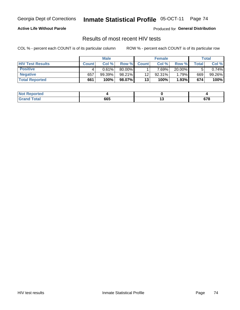#### **Active Life Without Parole**

Produced for **General Distribution**

### Results of most recent HIV tests

|                         |              | <b>Male</b> |        |              | <b>Female</b> |        |             | Total  |
|-------------------------|--------------|-------------|--------|--------------|---------------|--------|-------------|--------|
| <b>HIV Test Results</b> | <b>Count</b> | Col%        | Row %I | <b>Count</b> | Col %         | Row %  | $\tau$ otal | Col %  |
| <b>Positive</b>         |              | $0.61\%$    | 80.00% |              | $7.69\%$      | 20.00% |             | 0.74%  |
| <b>Negative</b>         | 657          | 99.39%      | 98.21% | 12           | 92.31%        | 1.79%  | 669         | 99.26% |
| <b>Total Reported</b>   | 661          | 100%        | 98.07% | 13           | 100%          | 1.93%  | 674         | 100%   |

| <b>Not Reported</b>         |     |                        |
|-----------------------------|-----|------------------------|
| <b>Total</b><br><b>Grar</b> | 665 | <br><b>C70</b><br>07 O |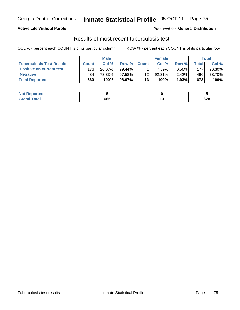#### **Active Life Without Parole**

Produced for **General Distribution**

### Results of most recent tuberculosis test

|                                  | <b>Male</b>  |        |           | <b>Female</b> |          |          | Total        |        |
|----------------------------------|--------------|--------|-----------|---------------|----------|----------|--------------|--------|
| <b>Tuberculosis Test Results</b> | <b>Count</b> | Col%   | Row %I    | <b>Count</b>  | Col%     | Row %    | <b>Total</b> | Col %  |
| <b>Positive on current test</b>  | 176          | 26.67% | $99.44\%$ |               | $7.69\%$ | 0.56%    | 177          | 26.30% |
| <b>Negative</b>                  | 484          | 73.33% | 97.58%    | 12            | 92.31%   | $2.42\%$ | 496          | 73.70% |
| <b>Total Reported</b>            | 660          | 100%   | 98.07%    | 13            | 100%     | 1.93%    | 673          | 100%   |

| <b>Not Reported</b>          |     |        |             |
|------------------------------|-----|--------|-------------|
| <b>Total</b><br>$G^{\prime}$ | 665 | $\sim$ | r70<br>07 G |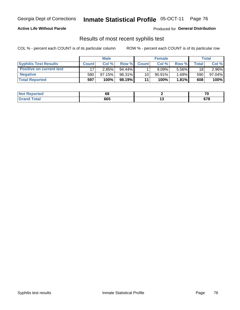#### **Active Life Without Parole**

Produced for **General Distribution**

### Results of most recent syphilis test

|                                 | <b>Male</b>  |           |           | <b>Female</b> |           |          | Total |        |
|---------------------------------|--------------|-----------|-----------|---------------|-----------|----------|-------|--------|
| <b>Syphilis Test Results</b>    | <b>Count</b> | Col %     | Row %     | <b>Count</b>  | Col %     | Row %I   | Total | Col %  |
| <b>Positive on current test</b> |              | 2.85%     | $94.44\%$ |               | 9.09%     | 5.56%    | 18    | 2.96%  |
| <b>Negative</b>                 | 580          | $97.15\%$ | 98.31%    | 10            | $90.91\%$ | $1.69\%$ | 590   | 97.04% |
| <b>Total Reported</b>           | 597          | 100%      | 98.19%    | 11            | 100%      | $1.81\%$ | 608   | 100%   |

| <b>Not Reported</b> | oc  |        |              |
|---------------------|-----|--------|--------------|
| <b>Total</b>        | 665 | $\sim$ | c70<br>0 / C |